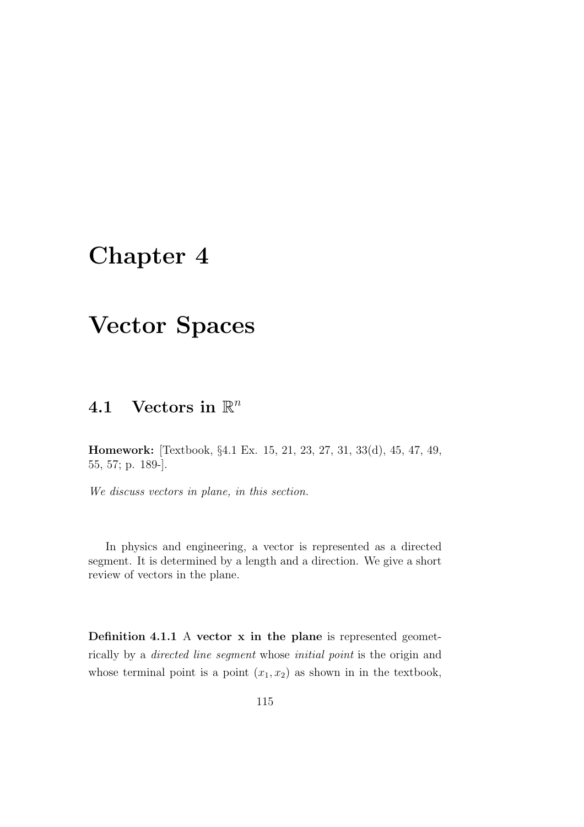# Chapter 4

# Vector Spaces

# 4.1 Vectors in  $\mathbb{R}^n$

Homework: [Textbook, §4.1 Ex. 15, 21, 23, 27, 31, 33(d), 45, 47, 49, 55, 57; p. 189-].

*We discuss vectors in plane, in this section.*

In physics and engineering, a vector is represented as a directed segment. It is determined by a length and a direction. We give a short review of vectors in the plane.

Definition 4.1.1 A vector x in the plane is represented geometrically by a *directed line segment* whose *initial point* is the origin and whose terminal point is a point  $(x_1, x_2)$  as shown in in the textbook,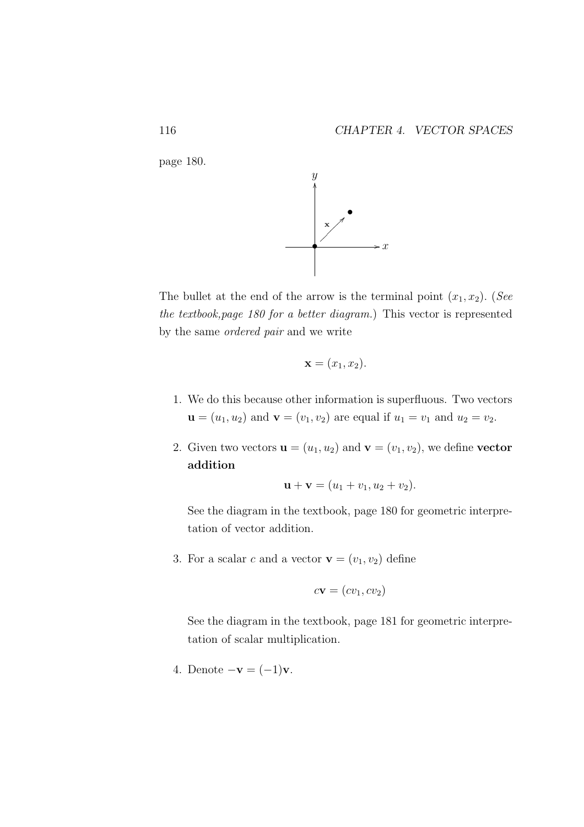



The bullet at the end of the arrow is the terminal point  $(x_1, x_2)$ . (*See the textbook,page 180 for a better diagram.*) This vector is represented by the same *ordered pair* and we write

$$
\mathbf{x} = (x_1, x_2).
$$

- 1. We do this because other information is superfluous. Two vectors  **and**  $**v** = (v<sub>1</sub>, v<sub>2</sub>)$  **are equal if**  $u<sub>1</sub> = v<sub>1</sub>$  **and**  $u<sub>2</sub> = v<sub>2</sub>$ **.**
- 2. Given two vectors  $\mathbf{u} = (u_1, u_2)$  and  $\mathbf{v} = (v_1, v_2)$ , we define vector addition

$$
\mathbf{u} + \mathbf{v} = (u_1 + v_1, u_2 + v_2).
$$

See the diagram in the textbook, page 180 for geometric interpretation of vector addition.

3. For a scalar c and a vector  $\mathbf{v} = (v_1, v_2)$  define

$$
c\mathbf{v} = (cv_1, cv_2)
$$

See the diagram in the textbook, page 181 for geometric interpretation of scalar multiplication.

4. Denote  $-\mathbf{v} = (-1)\mathbf{v}$ .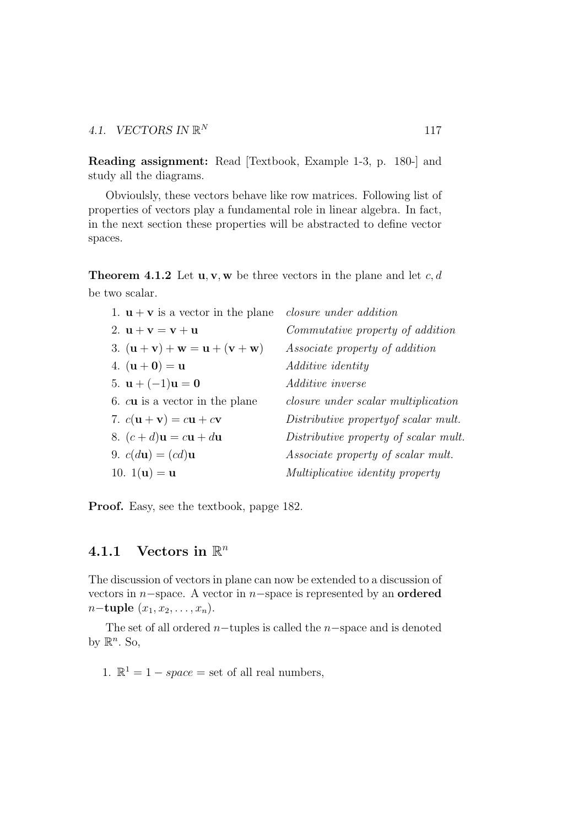Reading assignment: Read [Textbook, Example 1-3, p. 180-] and study all the diagrams.

Obvioulsly, these vectors behave like row matrices. Following list of properties of vectors play a fundamental role in linear algebra. In fact, in the next section these properties will be abstracted to define vector spaces.

**Theorem 4.1.2** Let  $\mathbf{u}, \mathbf{v}, \mathbf{w}$  be three vectors in the plane and let c, d be two scalar.

| 1. $\mathbf{u} + \mathbf{v}$ is a vector in the plane              | <i>closure under addition</i>              |
|--------------------------------------------------------------------|--------------------------------------------|
| 2. $u + v = v + u$                                                 | Commutative property of addition           |
| 3. $({\bf u} + {\bf v}) + {\bf w} = {\bf u} + ({\bf v} + {\bf w})$ | <i>Associate property of addition</i>      |
| 4. $({\bf u} + {\bf 0}) = {\bf u}$                                 | <i>Additive identity</i>                   |
| 5. $u + (-1)u = 0$                                                 | Additive inverse                           |
| 6. cu is a vector in the plane                                     | <i>closure under scalar multiplication</i> |
| 7. $c(\mathbf{u} + \mathbf{v}) = c\mathbf{u} + c\mathbf{v}$        | Distributive property of scalar mult.      |
| 8. $(c+d)\mathbf{u} = c\mathbf{u} + d\mathbf{u}$                   | Distributive property of scalar mult.      |
| 9. $c(du) = (cd)u$                                                 | Associate property of scalar mult.         |
| 10. $1(u) = u$                                                     | Multiplicative identity property           |
|                                                                    |                                            |

Proof. Easy, see the textbook, papge 182.

# 4.1.1 Vectors in  $\mathbb{R}^n$

The discussion of vectors in plane can now be extended to a discussion of vectors in  $n$ -space. A vector in  $n$ -space is represented by an **ordered**  $n$ −tuple  $(x_1, x_2, \ldots, x_n)$ .

The set of all ordered  $n$ -tuples is called the  $n$ -space and is denoted by  $\mathbb{R}^n$ . So,

1.  $\mathbb{R}^1 = 1 - space = set$  of all real numbers,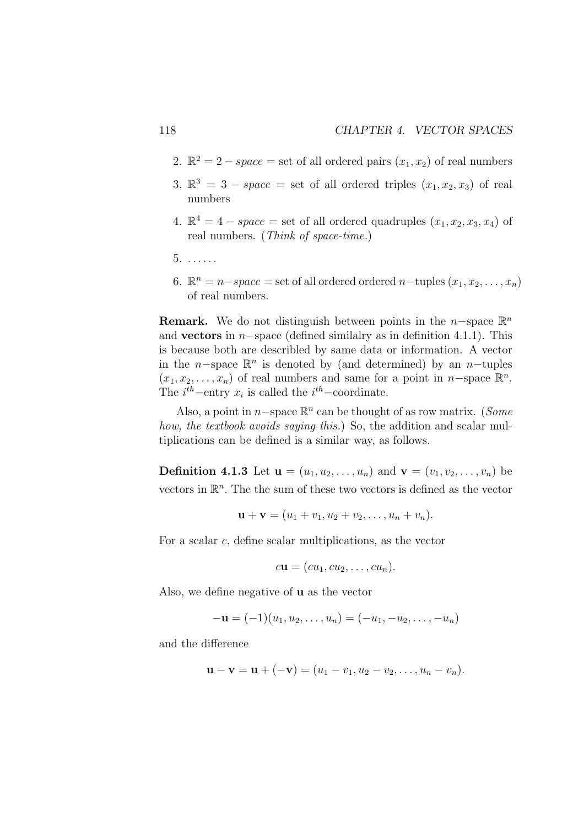- 2.  $\mathbb{R}^2 = 2 space = set$  of all ordered pairs  $(x_1, x_2)$  of real numbers
- 3.  $\mathbb{R}^3 = 3$  space = set of all ordered triples  $(x_1, x_2, x_3)$  of real numbers
- 4.  $\mathbb{R}^4 = 4 space = set$  of all ordered quadruples  $(x_1, x_2, x_3, x_4)$  of real numbers. (*Think of space-time.*)
- 5. . . . . . .
- 6.  $\mathbb{R}^n = n space = set$  of all ordered ordered  $n$ -tuples  $(x_1, x_2, \ldots, x_n)$ of real numbers.

**Remark.** We do not distinguish between points in the n-space  $\mathbb{R}^n$ and **vectors** in  $n$ –space (defined similalry as in definition 4.1.1). This is because both are describled by same data or information. A vector in the n–space  $\mathbb{R}^n$  is denoted by (and determined) by an n–tuples  $(x_1, x_2, \ldots, x_n)$  of real numbers and same for a point in n-space  $\mathbb{R}^n$ . The  $i^{th}$ -entry  $x_i$  is called the  $i^{th}$ -coordinate.

Also, a point in n−space R n can be thought of as row matrix. (*Some how, the textbook avoids saying this.*) So, the addition and scalar multiplications can be defined is a similar way, as follows.

**Definition 4.1.3** Let  $u = (u_1, u_2, \dots, u_n)$  and  $v = (v_1, v_2, \dots, v_n)$  be vectors in  $\mathbb{R}^n$ . The the sum of these two vectors is defined as the vector

$$
\mathbf{u} + \mathbf{v} = (u_1 + v_1, u_2 + v_2, \dots, u_n + v_n).
$$

For a scalar c, define scalar multiplications, as the vector

$$
c\mathbf{u}=(cu_1, cu_2,\ldots, cu_n).
$$

Also, we define negative of u as the vector

$$
-\mathbf{u} = (-1)(u_1, u_2, \dots, u_n) = (-u_1, -u_2, \dots, -u_n)
$$

and the difference

$$
\mathbf{u} - \mathbf{v} = \mathbf{u} + (-\mathbf{v}) = (u_1 - v_1, u_2 - v_2, \dots, u_n - v_n).
$$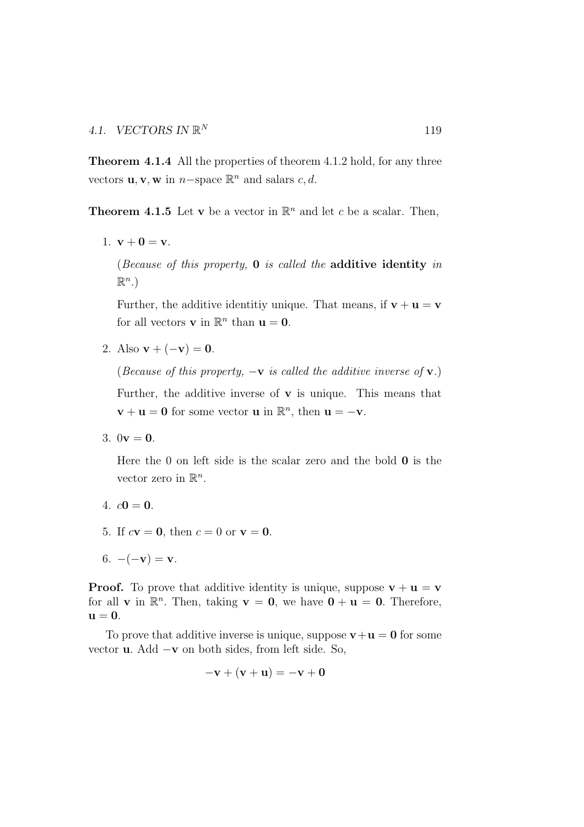Theorem 4.1.4 All the properties of theorem 4.1.2 hold, for any three vectors **u**, **v**, **w** in  $n$ -space  $\mathbb{R}^n$  and salars c, d.

**Theorem 4.1.5** Let **v** be a vector in  $\mathbb{R}^n$  and let c be a scalar. Then,

1.  $v + 0 = v$ .

(*Because of this property,* 0 *is called the* additive identity *in*  $\mathbb{R}^n$ .)

Further, the additive identitiy unique. That means, if  $\mathbf{v} + \mathbf{u} = \mathbf{v}$ for all vectors **v** in  $\mathbb{R}^n$  than **u** = **0**.

2. Also  $\mathbf{v} + (-\mathbf{v}) = \mathbf{0}$ .

(*Because of this property,*  $-\mathbf{v}$  *is called the additive inverse of*  $\mathbf{v}$ *.*)

Further, the additive inverse of  $\bf{v}$  is unique. This means that  $\mathbf{v} + \mathbf{u} = \mathbf{0}$  for some vector  $\mathbf{u}$  in  $\mathbb{R}^n$ , then  $\mathbf{u} = -\mathbf{v}$ .

3.  $0v = 0$ .

Here the  $0$  on left side is the scalar zero and the bold  $0$  is the vector zero in  $\mathbb{R}^n$ .

- 4.  $c0 = 0$ .
- 5. If  $c**v** = **0**$ , then  $c = 0$  or **.**

**Proof.** To prove that additive identity is unique, suppose  $v + u = v$ for all **v** in  $\mathbb{R}^n$ . Then, taking **v** = **0**, we have **0** + **u** = **0**. Therefore,  $u = 0$ .

To prove that additive inverse is unique, suppose  $v+u = 0$  for some vector u. Add −v on both sides, from left side. So,

$$
-\mathbf{v} + (\mathbf{v} + \mathbf{u}) = -\mathbf{v} + \mathbf{0}
$$

<sup>6.</sup>  $-(-\mathbf{v}) = \mathbf{v}$ .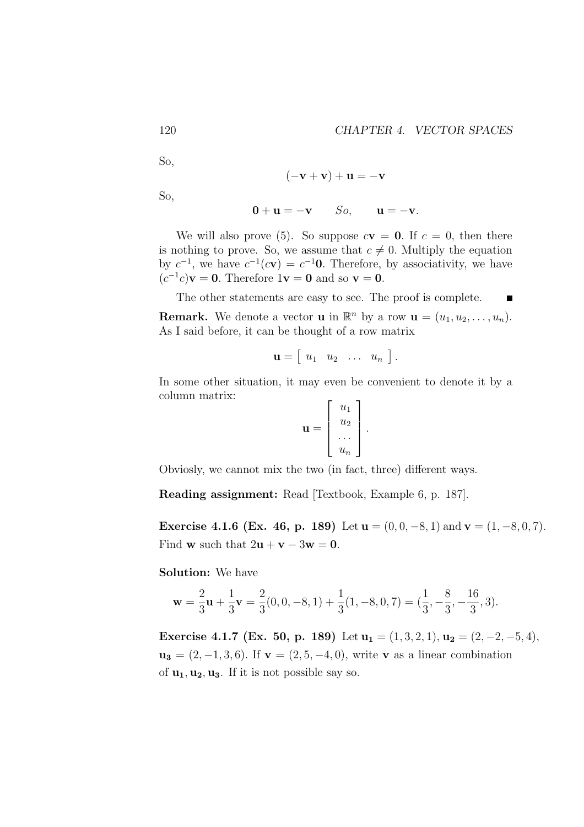So,

$$
(-\mathbf{v} + \mathbf{v}) + \mathbf{u} = -\mathbf{v}
$$

So,

$$
0 + u = -v \qquad So, \qquad u = -v.
$$

We will also prove (5). So suppose  $c\mathbf{v} = \mathbf{0}$ . If  $c = 0$ , then there is nothing to prove. So, we assume that  $c \neq 0$ . Multiply the equation by  $c^{-1}$ , we have  $c^{-1}(c\mathbf{v}) = c^{-1}\mathbf{0}$ . Therefore, by associativity, we have  $(c^{-1}c)\mathbf{v} = \mathbf{0}$ . Therefore  $1\mathbf{v} = \mathbf{0}$  and so  $\mathbf{v} = \mathbf{0}$ .

The other statements are easy to see. The proof is complete.  $\blacksquare$ **Remark.** We denote a vector **u** in  $\mathbb{R}^n$  by a row  $\mathbf{u} = (u_1, u_2, \dots, u_n)$ . As I said before, it can be thought of a row matrix

$$
\mathbf{u} = \left[ \begin{array}{cccc} u_1 & u_2 & \ldots & u_n \end{array} \right].
$$

In some other situation, it may even be convenient to denote it by a column matrix:

$$
\mathbf{u} = \left[ \begin{array}{c} u_1 \\ u_2 \\ \dots \\ u_n \end{array} \right].
$$

Obviosly, we cannot mix the two (in fact, three) different ways.

Reading assignment: Read [Textbook, Example 6, p. 187].

Exercise 4.1.6 (Ex. 46, p. 189) Let  $u = (0, 0, -8, 1)$  and  $v = (1, -8, 0, 7)$ . Find **w** such that  $2\mathbf{u} + \mathbf{v} - 3\mathbf{w} = \mathbf{0}$ .

Solution: We have

$$
\mathbf{w} = \frac{2}{3}\mathbf{u} + \frac{1}{3}\mathbf{v} = \frac{2}{3}(0, 0, -8, 1) + \frac{1}{3}(1, -8, 0, 7) = (\frac{1}{3}, -\frac{8}{3}, -\frac{16}{3}, 3).
$$

Exercise 4.1.7 (Ex. 50, p. 189) Let  $u_1 = (1, 3, 2, 1), u_2 = (2, -2, -5, 4),$  $u_3 = (2, -1, 3, 6)$ . If  $v = (2, 5, -4, 0)$ , write v as a linear combination of  $\mathbf{u}_1, \mathbf{u}_2, \mathbf{u}_3$ . If it is not possible say so.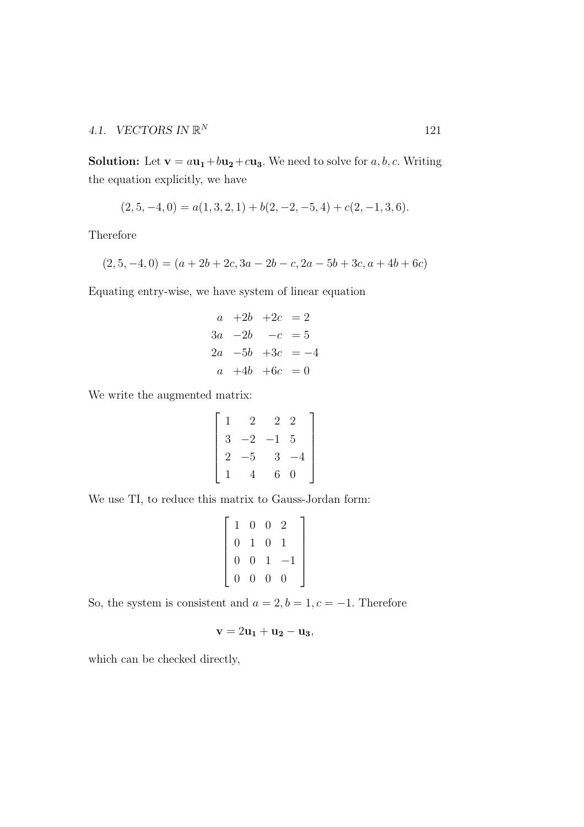**Solution:** Let  $\mathbf{v} = a\mathbf{u}_1 + b\mathbf{u}_2 + c\mathbf{u}_3$ . We need to solve for a, b, c. Writing the equation explicitly, we have

$$
(2,5,-4,0) = a(1,3,2,1) + b(2,-2,-5,4) + c(2,-1,3,6).
$$

Therefore

$$
(2,5,-4,0) = (a+2b+2c,3a-2b-c,2a-5b+3c,a+4b+6c)
$$

Equating entry-wise, we have system of linear equation

$$
a +2b +2c = 2
$$
  
\n
$$
3a -2b -c = 5
$$
  
\n
$$
2a -5b +3c = -4
$$
  
\n
$$
a +4b +6c = 0
$$

We write the augmented matrix:

$$
\begin{bmatrix} 1 & 2 & 2 & 2 \ 3 & -2 & -1 & 5 \ 2 & -5 & 3 & -4 \ 1 & 4 & 6 & 0 \end{bmatrix}
$$

We use TI, to reduce this matrix to Gauss-Jordan form:

$$
\left[\begin{array}{cccc}1 & 0 & 0 & 2 \\0 & 1 & 0 & 1 \\0 & 0 & 1 & -1 \\0 & 0 & 0 & 0\end{array}\right]
$$

So, the system is consistent and  $a = 2, b = 1, c = -1$ . Therefore

$$
\mathbf{v}=2\mathbf{u_1}+\mathbf{u_2}-\mathbf{u_3},
$$

which can be checked directly,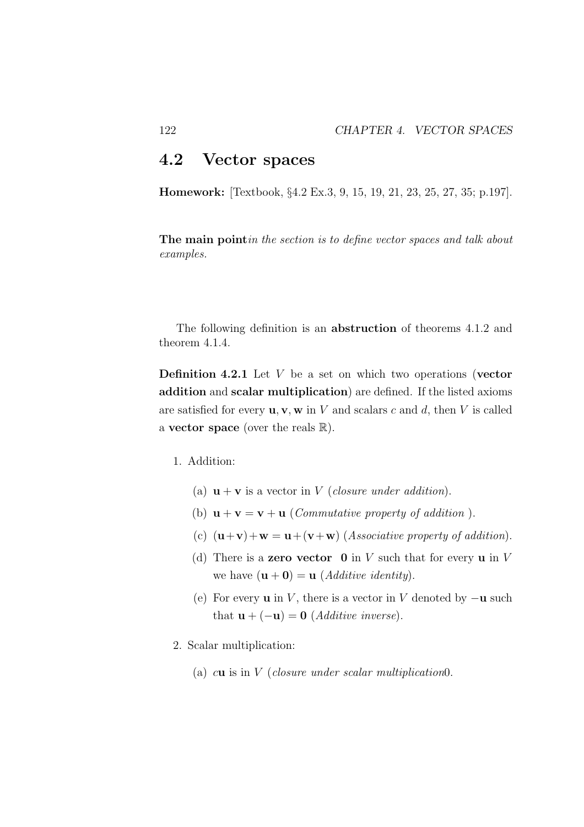### 4.2 Vector spaces

Homework: [Textbook, §4.2 Ex.3, 9, 15, 19, 21, 23, 25, 27, 35; p.197].

The main point*in the section is to define vector spaces and talk about examples.*

The following definition is an abstruction of theorems 4.1.2 and theorem 4.1.4.

**Definition 4.2.1** Let  $V$  be a set on which two operations (vector addition and scalar multiplication) are defined. If the listed axioms are satisfied for every  $\mathbf{u}, \mathbf{v}, \mathbf{w}$  in V and scalars c and d, then V is called a **vector space** (over the reals  $\mathbb{R}$ ).

- 1. Addition:
	- (a)  $\mathbf{u} + \mathbf{v}$  is a vector in *V* (*closure under addition*).
	- (b)  $\mathbf{u} + \mathbf{v} = \mathbf{v} + \mathbf{u}$  (*Commutative property of addition*).
	- (c)  $(\mathbf{u}+\mathbf{v})+\mathbf{w}=\mathbf{u}+(\mathbf{v}+\mathbf{w})$  (*Associative property of addition*).
	- (d) There is a **zero vector**  $\mathbf{0}$  in V such that for every  $\mathbf{u}$  in V we have  $(\mathbf{u} + \mathbf{0}) = \mathbf{u}$  (*Additive identity*).
	- (e) For every **u** in V, there is a vector in V denoted by  $-\mathbf{u}$  such that  $\mathbf{u} + (-\mathbf{u}) = \mathbf{0}$  (*Additive inverse*).
- 2. Scalar multiplication:
	- (a) cu is in V (*closure under scalar multiplication*0.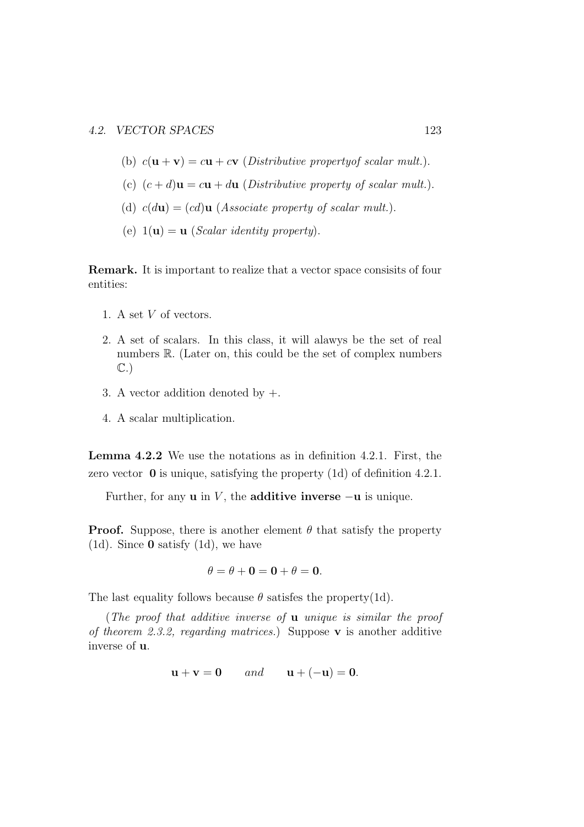- (b)  $c(\mathbf{u} + \mathbf{v}) = c\mathbf{u} + c\mathbf{v}$  (*Distributive propertyof scalar mult.*).
- (c)  $(c + d)\mathbf{u} = c\mathbf{u} + d\mathbf{u}$  (*Distributive property of scalar mult.*).
- (d)  $c(d\mathbf{u}) = (cd)\mathbf{u}$  (*Associate property of scalar mult.*).
- (e)  $1(\mathbf{u}) = \mathbf{u}$  (*Scalar identity property*).

Remark. It is important to realize that a vector space consisits of four entities:

- 1. A set V of vectors.
- 2. A set of scalars. In this class, it will alawys be the set of real numbers R. (Later on, this could be the set of complex numbers C.)
- 3. A vector addition denoted by  $+$ .
- 4. A scalar multiplication.

Lemma 4.2.2 We use the notations as in definition 4.2.1. First, the zero vector 0 is unique, satisfying the property (1d) of definition 4.2.1.

Further, for any **u** in V, the **additive inverse**  $-u$  is unique.

**Proof.** Suppose, there is another element  $\theta$  that satisfy the property (1d). Since  $\bf{0}$  satisfy (1d), we have

$$
\theta = \theta + \mathbf{0} = \mathbf{0} + \theta = \mathbf{0}.
$$

The last equality follows because  $\theta$  satisfes the property(1d).

(*The proof that additive inverse of* u *unique is similar the proof of theorem 2.3.2, regarding matrices.*) Suppose v is another additive inverse of u.

$$
\mathbf{u} + \mathbf{v} = \mathbf{0} \qquad and \qquad \mathbf{u} + (-\mathbf{u}) = \mathbf{0}.
$$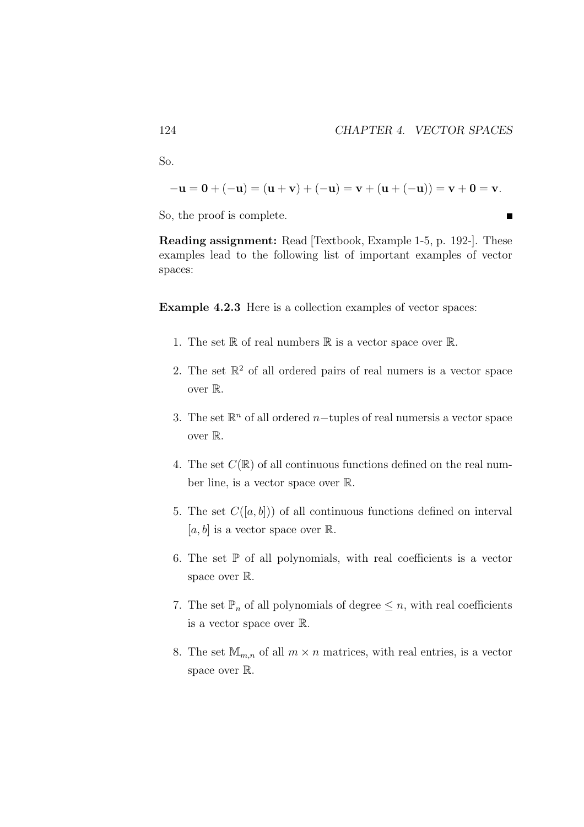So.

$$
-{\bf u}={\bf 0}+(-{\bf u})=({\bf u}+{\bf v})+(-{\bf u})={\bf v}+({\bf u}+(-{\bf u}))={\bf v}+{\bf 0}={\bf v}.
$$

So, the proof is complete.

Reading assignment: Read [Textbook, Example 1-5, p. 192-]. These examples lead to the following list of important examples of vector spaces:

Example 4.2.3 Here is a collection examples of vector spaces:

- 1. The set  $\mathbb R$  of real numbers  $\mathbb R$  is a vector space over  $\mathbb R$ .
- 2. The set  $\mathbb{R}^2$  of all ordered pairs of real numers is a vector space over R.
- 3. The set  $\mathbb{R}^n$  of all ordered n-tuples of real numersis a vector space over R.
- 4. The set  $C(\mathbb{R})$  of all continuous functions defined on the real number line, is a vector space over R.
- 5. The set  $C([a, b])$  of all continuous functions defined on interval [a, b] is a vector space over  $\mathbb{R}$ .
- 6. The set  $\mathbb P$  of all polynomials, with real coefficients is a vector space over R.
- 7. The set  $\mathbb{P}_n$  of all polynomials of degree  $\leq n$ , with real coefficients is a vector space over R.
- 8. The set  $\mathbb{M}_{m,n}$  of all  $m \times n$  matrices, with real entries, is a vector space over  $\mathbb{R}$ .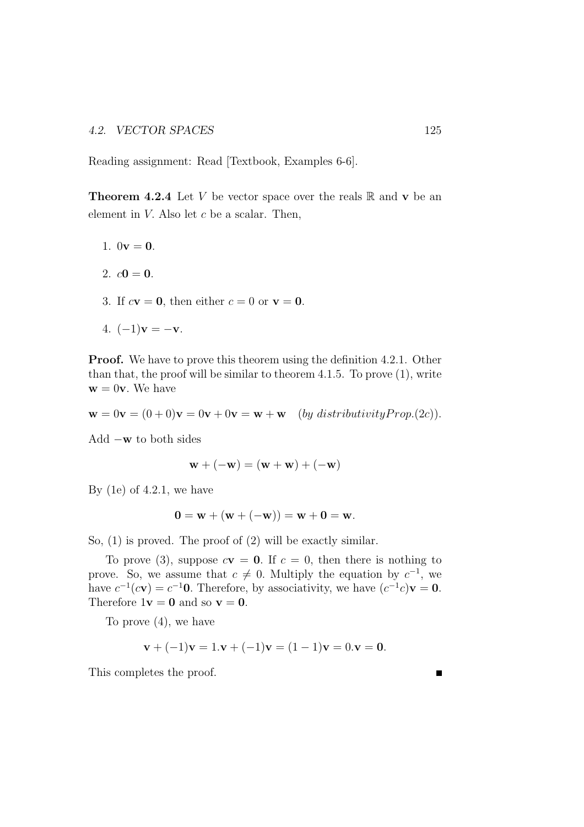Reading assignment: Read [Textbook, Examples 6-6].

**Theorem 4.2.4** Let V be vector space over the reals  $\mathbb{R}$  and **v** be an element in  $V$ . Also let  $c$  be a scalar. Then,

- 1.  $0v = 0$ .
- 2.  $c0 = 0$ .
- 3. If  $c\mathbf{v} = \mathbf{0}$ , then either  $c = 0$  or  $\mathbf{v} = \mathbf{0}$ .
- 4.  $(-1)\mathbf{v} = -\mathbf{v}$ .

Proof. We have to prove this theorem using the definition 4.2.1. Other than that, the proof will be similar to theorem 4.1.5. To prove (1), write  $\mathbf{w} = 0\mathbf{v}$ . We have

$$
\mathbf{w} = 0\mathbf{v} = (0+0)\mathbf{v} = 0\mathbf{v} + 0\mathbf{v} = \mathbf{w} + \mathbf{w} \quad (by \ distributivity Prop. (2c)).
$$

Add −w to both sides

$$
\mathbf{w} + (-\mathbf{w}) = (\mathbf{w} + \mathbf{w}) + (-\mathbf{w})
$$

By  $(1e)$  of 4.2.1, we have

$$
0 = w + (w + (-w)) = w + 0 = w.
$$

So, (1) is proved. The proof of (2) will be exactly similar.

To prove (3), suppose  $c\mathbf{v} = \mathbf{0}$ . If  $c = 0$ , then there is nothing to prove. So, we assume that  $c \neq 0$ . Multiply the equation by  $c^{-1}$ , we have  $c^{-1}(c\mathbf{v}) = c^{-1}\mathbf{0}$ . Therefore, by associativity, we have  $(c^{-1}c)\mathbf{v} = \mathbf{0}$ . Therefore  $1\mathbf{v} = \mathbf{0}$  and so  $\mathbf{v} = \mathbf{0}$ .

To prove (4), we have

$$
\mathbf{v} + (-1)\mathbf{v} = 1.\mathbf{v} + (-1)\mathbf{v} = (1-1)\mathbf{v} = 0.\mathbf{v} = \mathbf{0}.
$$

This completes the proof.

 $\blacksquare$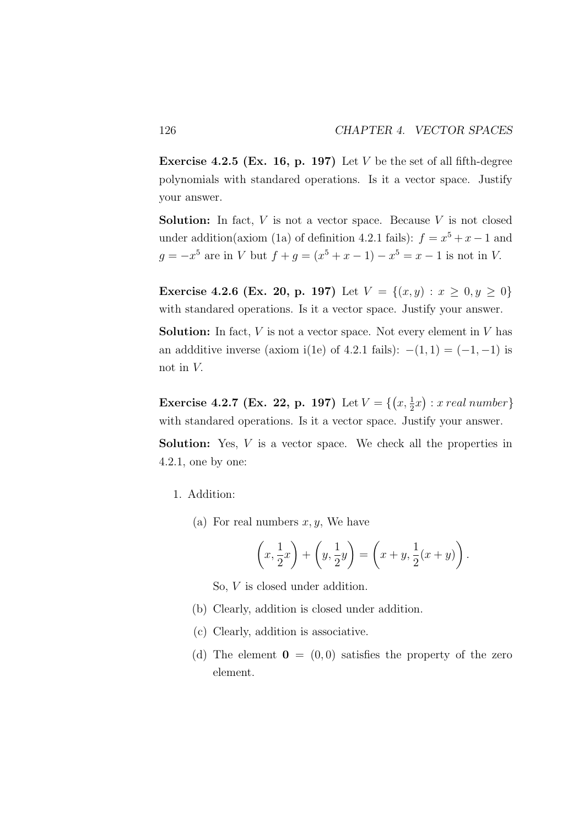**Exercise 4.2.5 (Ex. 16, p. 197)** Let V be the set of all fifth-degree polynomials with standared operations. Is it a vector space. Justify your answer.

**Solution:** In fact,  $V$  is not a vector space. Because  $V$  is not closed under addition(axiom (1a) of definition 4.2.1 fails):  $f = x^5 + x - 1$  and  $g = -x^5$  are in V but  $f + g = (x^5 + x - 1) - x^5 = x - 1$  is not in V.

**Exercise 4.2.6 (Ex. 20, p. 197)** Let  $V = \{(x, y) : x \ge 0, y \ge 0\}$ with standared operations. Is it a vector space. Justify your answer.

**Solution:** In fact,  $V$  is not a vector space. Not every element in  $V$  has an addditive inverse (axiom i(1e) of 4.2.1 fails):  $-(1, 1) = (-1, -1)$  is not in V.

**Exercise 4.2.7 (Ex. 22, p. 197)** Let  $V = \{(x, \frac{1}{2}x) : x \text{ real number}\}\$ with standared operations. Is it a vector space. Justify your answer.

**Solution:** Yes, V is a vector space. We check all the properties in 4.2.1, one by one:

- 1. Addition:
	- (a) For real numbers  $x, y$ , We have

$$
\left(x, \frac{1}{2}x\right) + \left(y, \frac{1}{2}y\right) = \left(x+y, \frac{1}{2}(x+y)\right).
$$

So, V is closed under addition.

- (b) Clearly, addition is closed under addition.
- (c) Clearly, addition is associative.
- (d) The element  $\mathbf{0} = (0,0)$  satisfies the property of the zero element.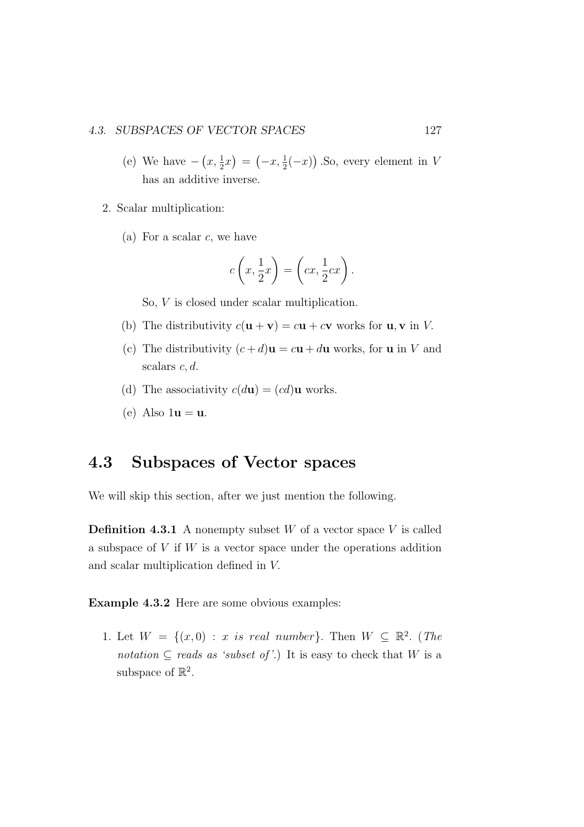#### 4.3. SUBSPACES OF VECTOR SPACES 127

- (e) We have  $-\left(x, \frac{1}{2}x\right) = \left(-x, \frac{1}{2}(-x)\right)$ . So, every element in V has an additive inverse.
- 2. Scalar multiplication:
	- (a) For a scalar  $c$ , we have

$$
c\left(x, \frac{1}{2}x\right) = \left(cx, \frac{1}{2}cx\right).
$$

So, V is closed under scalar multiplication.

- (b) The distributivity  $c(\mathbf{u} + \mathbf{v}) = c\mathbf{u} + c\mathbf{v}$  works for  $\mathbf{u}, \mathbf{v}$  in V.
- (c) The distributivity  $(c+d)\mathbf{u} = c\mathbf{u} + d\mathbf{u}$  works, for **u** in V and scalars  $c, d$ .
- (d) The associativity  $c(d\mathbf{u}) = (cd)\mathbf{u}$  works.
- (e) Also  $1\mathbf{u} = \mathbf{u}$ .

### 4.3 Subspaces of Vector spaces

We will skip this section, after we just mention the following.

**Definition 4.3.1** A nonempty subset  $W$  of a vector space  $V$  is called a subspace of  $V$  if  $W$  is a vector space under the operations addition and scalar multiplication defined in V.

Example 4.3.2 Here are some obvious examples:

1. Let  $W = \{(x, 0) : x \text{ is real number}\}\.$  Then  $W \subseteq \mathbb{R}^2$ . (The *notation*  $\subseteq$  *reads as 'subset of'.*) It is easy to check that W is a subspace of  $\mathbb{R}^2$ .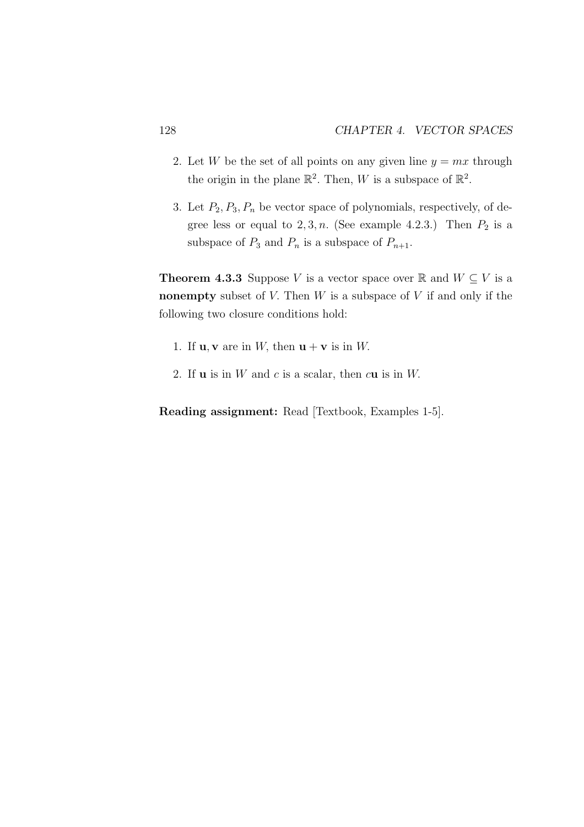- 2. Let W be the set of all points on any given line  $y = mx$  through the origin in the plane  $\mathbb{R}^2$ . Then, W is a subspace of  $\mathbb{R}^2$ .
- 3. Let  $P_2, P_3, P_n$  be vector space of polynomials, respectively, of degree less or equal to  $2, 3, n$ . (See example 4.2.3.) Then  $P_2$  is a subspace of  $P_3$  and  $P_n$  is a subspace of  $P_{n+1}$ .

**Theorem 4.3.3** Suppose V is a vector space over R and  $W \subseteq V$  is a nonempty subset of  $V$ . Then  $W$  is a subspace of  $V$  if and only if the following two closure conditions hold:

- 1. If  $\mathbf{u}, \mathbf{v}$  are in W, then  $\mathbf{u} + \mathbf{v}$  is in W.
- 2. If  $\bf{u}$  is in  $W$  and  $c$  is a scalar, then  $c\bf{u}$  is in  $W$ .

Reading assignment: Read [Textbook, Examples 1-5].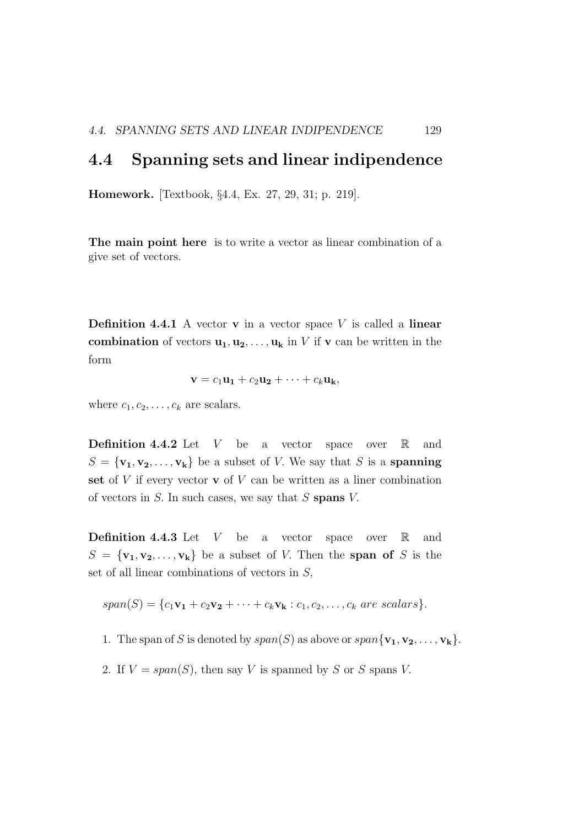### 4.4 Spanning sets and linear indipendence

Homework. [Textbook, §4.4, Ex. 27, 29, 31; p. 219].

The main point here is to write a vector as linear combination of a give set of vectors.

**Definition 4.4.1** A vector **v** in a vector space  $V$  is called a **linear** combination of vectors  $u_1, u_2, \ldots, u_k$  in V if v can be written in the form

$$
\mathbf{v}=c_1\mathbf{u_1}+c_2\mathbf{u_2}+\cdots+c_k\mathbf{u_k},
$$

where  $c_1, c_2, \ldots, c_k$  are scalars.

**Definition 4.4.2** Let  $V$  be a vector space over  $\mathbb{R}$  and  $S = {\mathbf{v_1}, \mathbf{v_2}, \dots, \mathbf{v_k}}$  be a subset of *V*. We say that *S* is a **spanning** set of  $V$  if every vector  $\bf{v}$  of  $V$  can be written as a liner combination of vectors in  $S$ . In such cases, we say that  $S$  spans  $V$ .

**Definition 4.4.3** Let  $V$  be a vector space over  $\mathbb{R}$  and  $S = {\mathbf{v}_1, \mathbf{v}_2, \dots, \mathbf{v}_k}$  be a subset of V. Then the span of S is the set of all linear combinations of vectors in S,

$$
span(S) = \{c_1\mathbf{v_1} + c_2\mathbf{v_2} + \cdots + c_k\mathbf{v_k} : c_1, c_2, \ldots, c_k \text{ are scalars}\}.
$$

- 1. The span of S is denoted by  $span(S)$  as above or  $span{\mathbf{v_1, v_2, ..., v_k}}$ .
- 2. If  $V = span(S)$ , then say V is spanned by S or S spans V.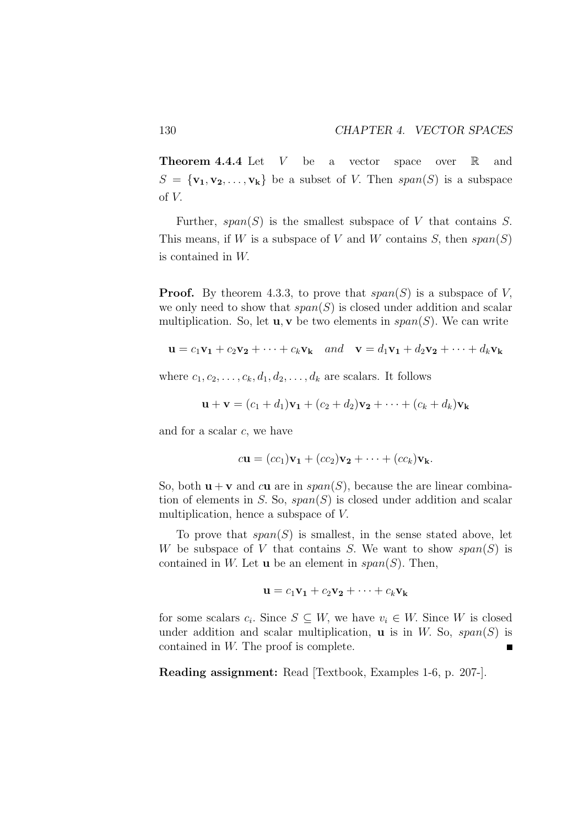**Theorem 4.4.4** Let V be a vector space over  $\mathbb{R}$  and  $S = {\mathbf{v}_1, \mathbf{v}_2, \dots, \mathbf{v}_k}$  be a subset of V. Then  $span(S)$  is a subspace of V.

Further,  $span(S)$  is the smallest subspace of V that contains S. This means, if W is a subspace of V and W contains S, then  $span(S)$ is contained in W.

**Proof.** By theorem 4.3.3, to prove that  $span(S)$  is a subspace of V, we only need to show that  $span(S)$  is closed under addition and scalar multiplication. So, let  $\mathbf{u}, \mathbf{v}$  be two elements in  $span(S)$ . We can write

$$
\mathbf{u} = c_1 \mathbf{v}_1 + c_2 \mathbf{v}_2 + \dots + c_k \mathbf{v}_k \quad and \quad \mathbf{v} = d_1 \mathbf{v}_1 + d_2 \mathbf{v}_2 + \dots + d_k \mathbf{v}_k
$$

where  $c_1, c_2, \ldots, c_k, d_1, d_2, \ldots, d_k$  are scalars. It follows

$$
\mathbf{u} + \mathbf{v} = (c_1 + d_1)\mathbf{v}_1 + (c_2 + d_2)\mathbf{v}_2 + \cdots + (c_k + d_k)\mathbf{v}_k
$$

and for a scalar c, we have

$$
c\mathbf{u} = (cc_1)\mathbf{v}_1 + (cc_2)\mathbf{v}_2 + \cdots + (cc_k)\mathbf{v}_k.
$$

So, both  $\mathbf{u} + \mathbf{v}$  and cu are in span(S), because the are linear combination of elements in S. So,  $span(S)$  is closed under addition and scalar multiplication, hence a subspace of V.

To prove that  $span(S)$  is smallest, in the sense stated above, let W be subspace of V that contains S. We want to show  $span(S)$  is contained in W. Let  $\bf{u}$  be an element in  $span(S)$ . Then,

$$
\mathbf{u} = c_1 \mathbf{v_1} + c_2 \mathbf{v_2} + \cdots + c_k \mathbf{v_k}
$$

for some scalars  $c_i$ . Since  $S \subseteq W$ , we have  $v_i \in W$ . Since W is closed under addition and scalar multiplication, **u** is in W. So,  $span(S)$  is contained in W. The proof is complete.  $\blacksquare$ 

Reading assignment: Read [Textbook, Examples 1-6, p. 207-].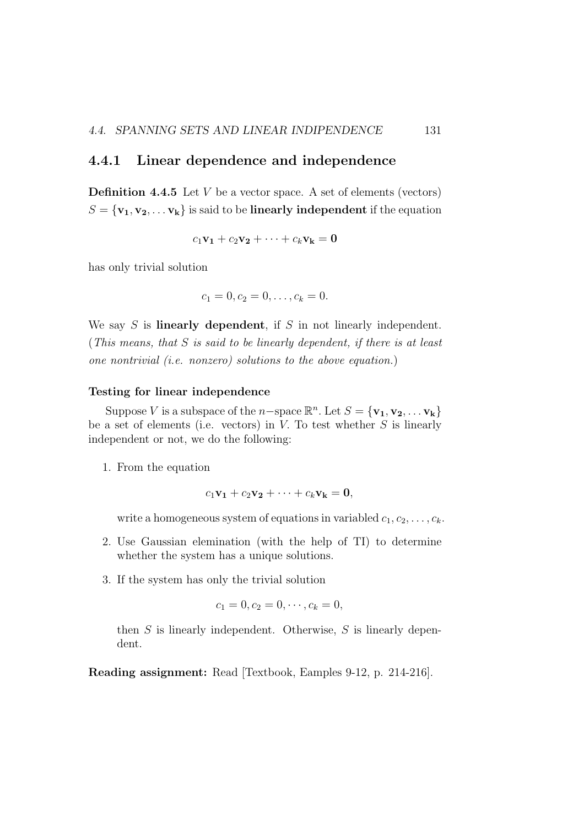### 4.4.1 Linear dependence and independence

**Definition 4.4.5** Let  $V$  be a vector space. A set of elements (vectors)  $S = {\mathbf{v_1}, \mathbf{v_2}, \dots \mathbf{v_k}}$  is said to be **linearly independent** if the equation

$$
c_1\mathbf{v_1}+c_2\mathbf{v_2}+\cdots+c_k\mathbf{v_k}=0
$$

has only trivial solution

$$
c_1 = 0, c_2 = 0, \ldots, c_k = 0.
$$

We say  $S$  is **linearly dependent**, if  $S$  in not linearly independent. (*This means, that* S *is said to be linearly dependent, if there is at least one nontrivial (i.e. nonzero) solutions to the above equation.*)

### Testing for linear independence

Suppose V is a subspace of the n-space  $\mathbb{R}^n$ . Let  $S = {\mathbf{v_1}, \mathbf{v_2}, \dots \mathbf{v_k}}$ be a set of elements (i.e. vectors) in  $V$ . To test whether  $S$  is linearly independent or not, we do the following:

1. From the equation

$$
c_1\mathbf{v_1}+c_2\mathbf{v_2}+\cdots+c_k\mathbf{v_k}=0,
$$

write a homogeneous system of equations in variabled  $c_1, c_2, \ldots, c_k$ .

- 2. Use Gaussian elemination (with the help of TI) to determine whether the system has a unique solutions.
- 3. If the system has only the trivial solution

$$
c_1 = 0, c_2 = 0, \cdots, c_k = 0,
$$

then  $S$  is linearly independent. Otherwise,  $S$  is linearly dependent.

Reading assignment: Read [Textbook, Eamples 9-12, p. 214-216].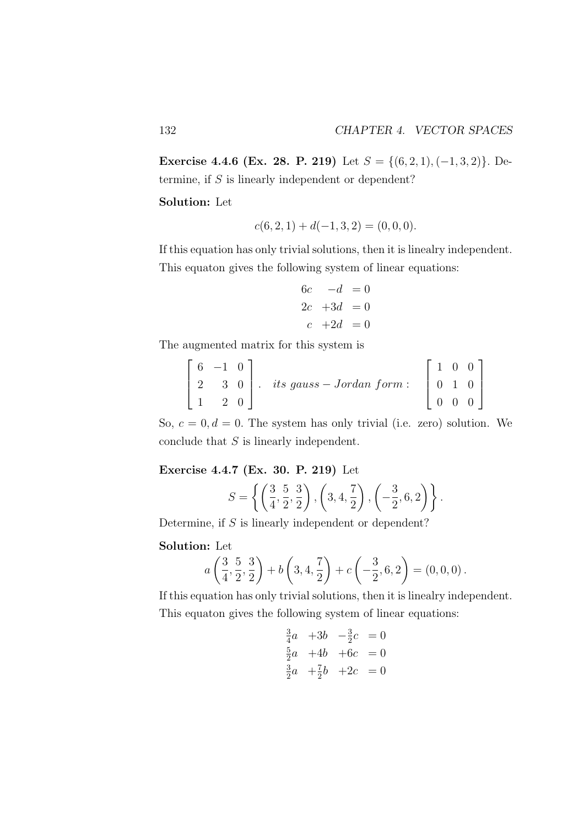Exercise 4.4.6 (Ex. 28. P. 219) Let  $S = \{(6, 2, 1), (-1, 3, 2)\}\.$  Determine, if S is linearly independent or dependent?

Solution: Let

$$
c(6,2,1) + d(-1,3,2) = (0,0,0).
$$

If this equation has only trivial solutions, then it is linealry independent. This equaton gives the following system of linear equations:

$$
6c \t -d = 0
$$
  
\n
$$
2c +3d = 0
$$
  
\n
$$
c +2d = 0
$$

The augmented matrix for this system is

$$
\begin{bmatrix} 6 & -1 & 0 \ 2 & 3 & 0 \ 1 & 2 & 0 \end{bmatrix}
$$
. its gauss – Jordan form: 
$$
\begin{bmatrix} 1 & 0 & 0 \ 0 & 1 & 0 \ 0 & 0 & 0 \end{bmatrix}
$$

So,  $c = 0, d = 0$ . The system has only trivial (i.e. zero) solution. We conclude that  $S$  is linearly independent.

Exercise 4.4.7 (Ex. 30. P. 219) Let

$$
S = \left\{ \left( \frac{3}{4}, \frac{5}{2}, \frac{3}{2} \right), \left( 3, 4, \frac{7}{2} \right), \left( -\frac{3}{2}, 6, 2 \right) \right\}.
$$

Determine, if  $S$  is linearly independent or dependent?

### Solution: Let

$$
a\left(\frac{3}{4},\frac{5}{2},\frac{3}{2}\right) + b\left(3,4,\frac{7}{2}\right) + c\left(-\frac{3}{2},6,2\right) = (0,0,0).
$$

If this equation has only trivial solutions, then it is linealry independent. This equaton gives the following system of linear equations:

$$
\frac{3}{4}a +3b -\frac{3}{2}c = 0
$$
  

$$
\frac{5}{2}a +4b +6c = 0
$$
  

$$
\frac{3}{2}a +\frac{7}{2}b +2c = 0
$$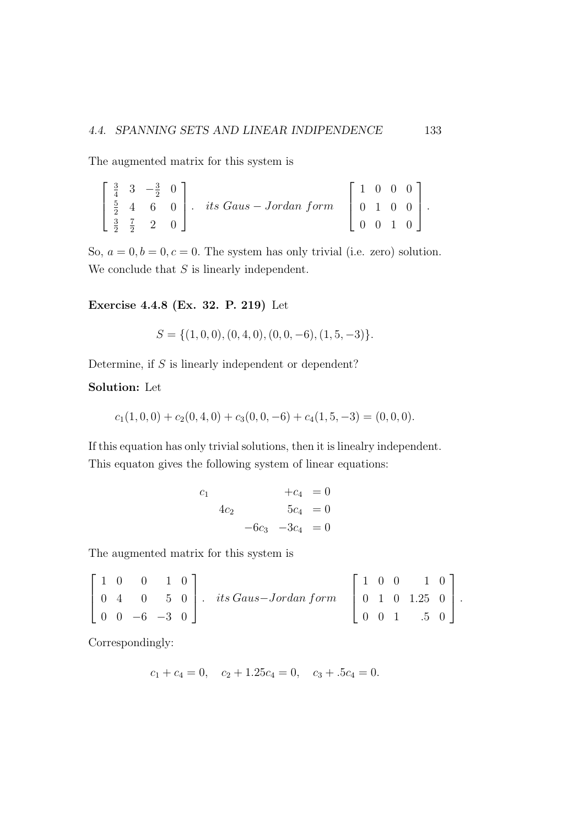The augmented matrix for this system is

|  | $\begin{bmatrix} \frac{3}{4} & 3 & -\frac{3}{2} & 0 \end{bmatrix}$ |  |                                                                                                                                  |  |  | $1 \quad 0 \quad 0 \quad 0$ |  |
|--|--------------------------------------------------------------------|--|----------------------------------------------------------------------------------------------------------------------------------|--|--|-----------------------------|--|
|  |                                                                    |  | $\begin{bmatrix} \frac{5}{2} & 4 & 6 & 0 \end{bmatrix}$ . its Gaus - Jordan form $\begin{bmatrix} 0 & 1 & 0 & 0 \end{bmatrix}$ . |  |  |                             |  |
|  | $\frac{3}{2}$ $\frac{7}{2}$ 2 0                                    |  |                                                                                                                                  |  |  | $0 \t 0 \t 1 \t 0$          |  |

So,  $a = 0, b = 0, c = 0$ . The system has only trivial (i.e. zero) solution. We conclude that  $S$  is linearly independent.

Exercise 4.4.8 (Ex. 32. P. 219) Let

$$
S = \{(1,0,0), (0,4,0), (0,0,-6), (1,5,-3)\}.
$$

Determine, if  $S$  is linearly independent or dependent?

### Solution: Let

$$
c_1(1,0,0) + c_2(0,4,0) + c_3(0,0,-6) + c_4(1,5,-3) = (0,0,0).
$$

If this equation has only trivial solutions, then it is linealry independent. This equaton gives the following system of linear equations:

$$
c_1 + c_4 = 0
$$
  
\n
$$
4c_2 + c_3 = 0
$$
  
\n
$$
-6c_3 - 3c_4 = 0
$$

The augmented matrix for this system is

$$
\begin{bmatrix} 1 & 0 & 0 & 1 & 0 \ 0 & 4 & 0 & 5 & 0 \ 0 & 0 & -6 & -3 & 0 \end{bmatrix}
$$
. *its Gauss–Jordan form* 
$$
\begin{bmatrix} 1 & 0 & 0 & 1 & 0 \ 0 & 1 & 0 & 1.25 & 0 \ 0 & 0 & 1 & .5 & 0 \end{bmatrix}
$$
.

Correspondingly:

$$
c_1 + c_4 = 0
$$
,  $c_2 + 1.25c_4 = 0$ ,  $c_3 + .5c_4 = 0$ .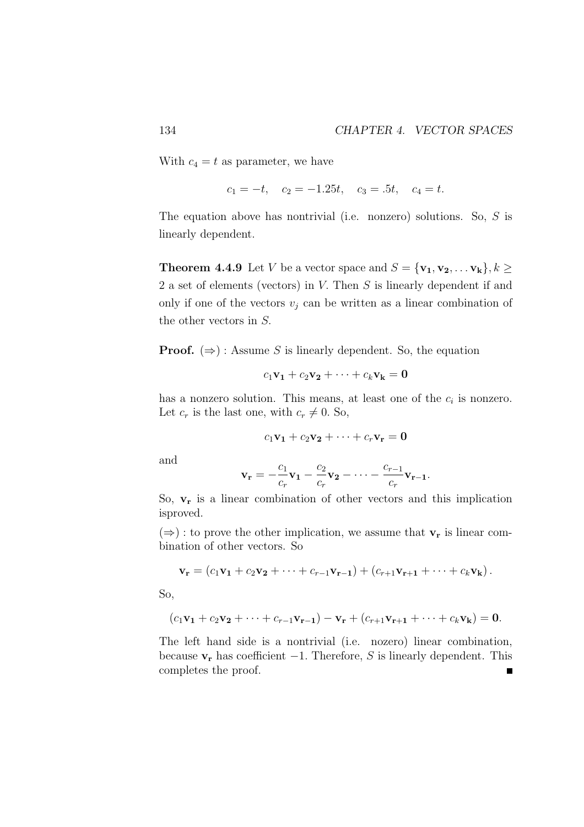With  $c_4 = t$  as parameter, we have

$$
c_1 = -t
$$
,  $c_2 = -1.25t$ ,  $c_3 = .5t$ ,  $c_4 = t$ .

The equation above has nontrivial (i.e. nonzero) solutions. So, S is linearly dependent.

**Theorem 4.4.9** Let V be a vector space and  $S = {\mathbf{v}_1, \mathbf{v}_2, \dots, \mathbf{v}_k}, k \geq 1$ 2 a set of elements (vectors) in V. Then S is linearly dependent if and only if one of the vectors  $v_j$  can be written as a linear combination of the other vectors in S.

**Proof.**  $(\Rightarrow)$ : Assume S is linearly dependent. So, the equation

$$
c_1\mathbf{v_1}+c_2\mathbf{v_2}+\cdots+c_k\mathbf{v_k}=0
$$

has a nonzero solution. This means, at least one of the  $c_i$  is nonzero. Let  $c_r$  is the last one, with  $c_r \neq 0$ . So,

$$
c_1\mathbf{v_1}+c_2\mathbf{v_2}+\cdots+c_r\mathbf{v_r}=0
$$

and

$$
\mathbf{v_r} = -\frac{c_1}{c_r}\mathbf{v_1} - \frac{c_2}{c_r}\mathbf{v_2} - \dots - \frac{c_{r-1}}{c_r}\mathbf{v_{r-1}}.
$$

So,  $v_r$  is a linear combination of other vectors and this implication isproved.

 $(\Rightarrow)$ : to prove the other implication, we assume that  $v_r$  is linear combination of other vectors. So

$$
\mathbf{v}_{\mathbf{r}} = (c_1 \mathbf{v}_1 + c_2 \mathbf{v}_2 + \cdots + c_{r-1} \mathbf{v}_{r-1}) + (c_{r+1} \mathbf{v}_{r+1} + \cdots + c_k \mathbf{v}_k).
$$

So,

$$
(c_1\mathbf{v_1}+c_2\mathbf{v_2}+\cdots+c_{r-1}\mathbf{v_{r-1}})-\mathbf{v_r}+(c_{r+1}\mathbf{v_{r+1}}+\cdots+c_k\mathbf{v_k})=0.
$$

The left hand side is a nontrivial (i.e. nozero) linear combination, because  $v_r$  has coefficient  $-1$ . Therefore, S is linearly dependent. This completes the proof. $\blacksquare$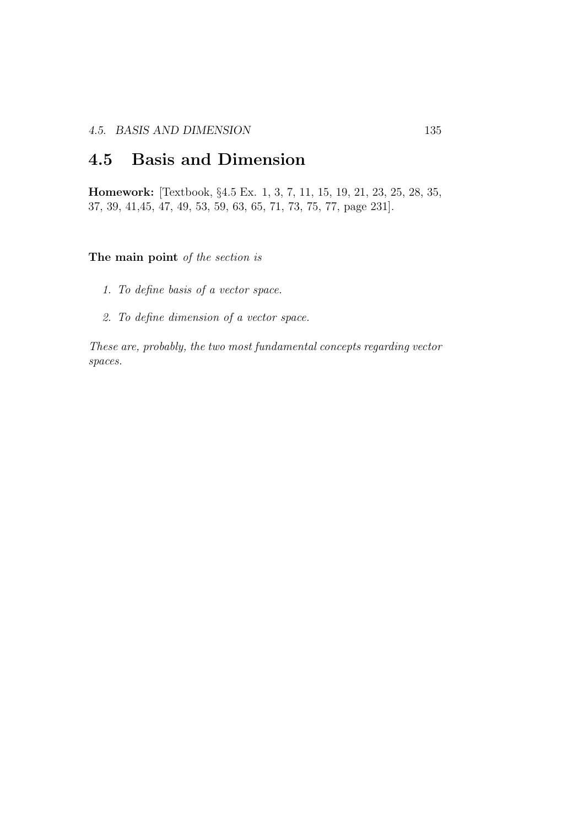# 4.5 Basis and Dimension

Homework: [Textbook, §4.5 Ex. 1, 3, 7, 11, 15, 19, 21, 23, 25, 28, 35, 37, 39, 41,45, 47, 49, 53, 59, 63, 65, 71, 73, 75, 77, page 231].

### The main point *of the section is*

- *1. To define basis of a vector space.*
- *2. To define dimension of a vector space.*

*These are, probably, the two most fundamental concepts regarding vector spaces.*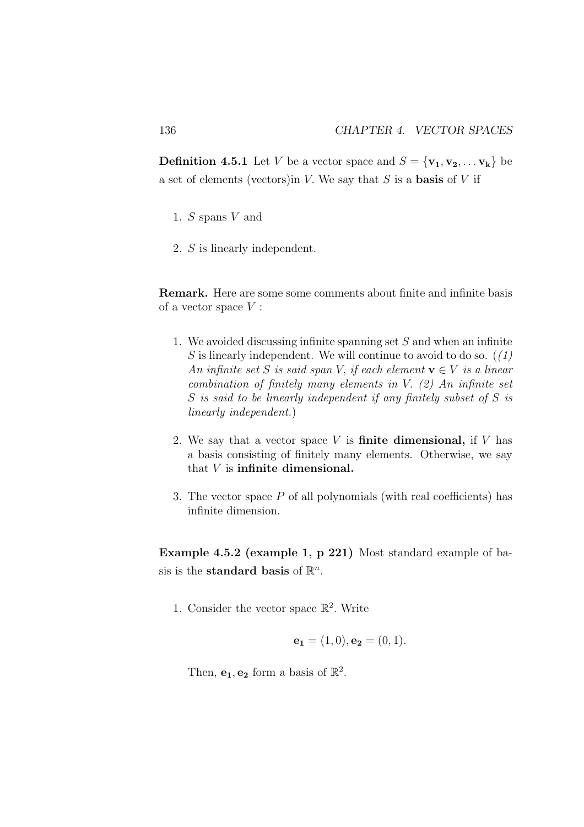**Definition 4.5.1** Let V be a vector space and  $S = {\mathbf{v}_1, \mathbf{v}_2, \dots, \mathbf{v}_k}$  be a set of elements (vectors) in V. We say that  $S$  is a **basis** of V if

- 1. S spans V and
- 2. S is linearly independent.

Remark. Here are some some comments about finite and infinite basis of a vector space  $V$ :

- 1. We avoided discussing infinite spanning set  $S$  and when an infinite S is linearly independent. We will continue to avoid to do so. (*(1) An infinite set* S *is said span* V, *if each element*  $\mathbf{v} \in V$  *is a linear combination of finitely many elements in* V. *(2) An infinite set* S *is said to be linearly independent if any finitely subset of* S *is linearly independent.*)
- 2. We say that a vector space  $V$  is finite dimensional, if  $V$  has a basis consisting of finitely many elements. Otherwise, we say that V is infinite dimensional.
- 3. The vector space P of all polynomials (with real coefficients) has infinite dimension.

Example 4.5.2 (example 1, p 221) Most standard example of basis is the **standard basis** of  $\mathbb{R}^n$ .

1. Consider the vector space  $\mathbb{R}^2$ . Write

$$
\mathbf{e_1} = (1,0), \mathbf{e_2} = (0,1).
$$

Then,  $e_1, e_2$  form a basis of  $\mathbb{R}^2$ .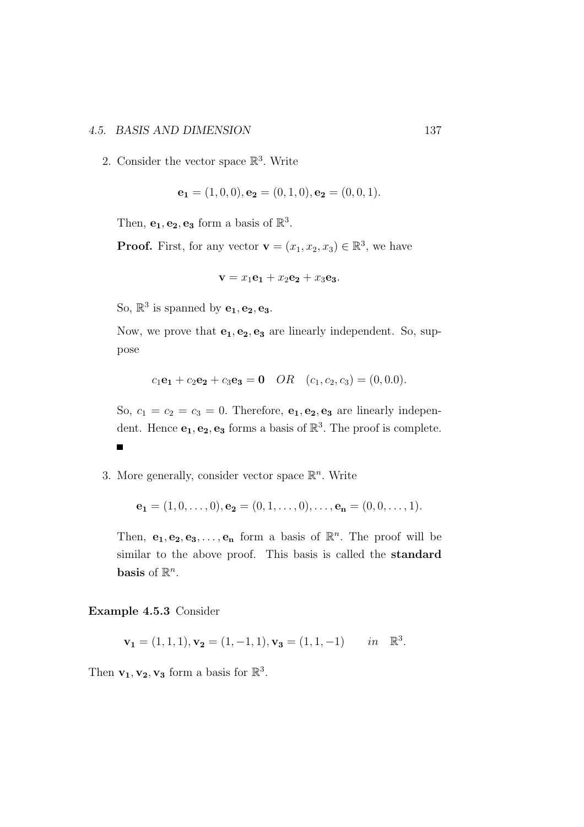### 4.5. BASIS AND DIMENSION 137

2. Consider the vector space  $\mathbb{R}^3$ . Write

$$
\mathbf{e_1} = (1,0,0), \mathbf{e_2} = (0,1,0), \mathbf{e_2} = (0,0,1).
$$

Then,  $e_1, e_2, e_3$  form a basis of  $\mathbb{R}^3$ .

**Proof.** First, for any vector  $\mathbf{v} = (x_1, x_2, x_3) \in \mathbb{R}^3$ , we have

$$
\mathbf{v} = x_1 \mathbf{e_1} + x_2 \mathbf{e_2} + x_3 \mathbf{e_3}.
$$

So,  $\mathbb{R}^3$  is spanned by  $\mathbf{e}_1, \mathbf{e}_2, \mathbf{e}_3$ .

Now, we prove that  $e_1, e_2, e_3$  are linearly independent. So, suppose

$$
c_1
$$
**e**<sub>1</sub> +  $c_2$ **e**<sub>2</sub> +  $c_3$ **e**<sub>3</sub> = **0**  $OR$   $(c_1, c_2, c_3) = (0, 0.0).$ 

So,  $c_1 = c_2 = c_3 = 0$ . Therefore,  $e_1, e_2, e_3$  are linearly independent. Hence  $\mathbf{e}_1, \mathbf{e}_2, \mathbf{e}_3$  forms a basis of  $\mathbb{R}^3$ . The proof is complete.  $\blacksquare$ 

3. More generally, consider vector space  $\mathbb{R}^n$ . Write

$$
\mathbf{e_1} = (1,0,\ldots,0), \mathbf{e_2} = (0,1,\ldots,0), \ldots, \mathbf{e_n} = (0,0,\ldots,1).
$$

Then,  $e_1, e_2, e_3, \ldots, e_n$  form a basis of  $\mathbb{R}^n$ . The proof will be similar to the above proof. This basis is called the standard basis of  $\mathbb{R}^n$ .

Example 4.5.3 Consider

$$
\mathbf{v_1} = (1, 1, 1), \mathbf{v_2} = (1, -1, 1), \mathbf{v_3} = (1, 1, -1) \quad in \mathbb{R}^3.
$$

Then  $\mathbf{v_1}, \mathbf{v_2}, \mathbf{v_3}$  form a basis for  $\mathbb{R}^3$ .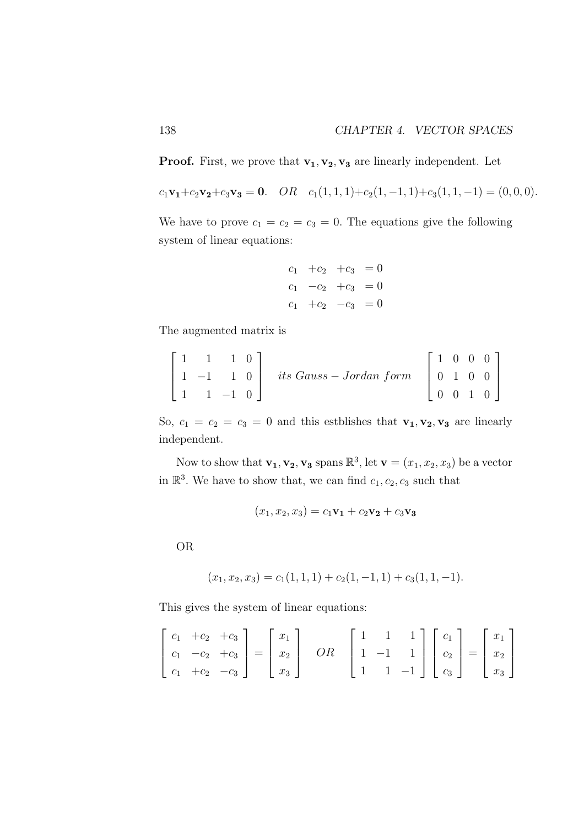**Proof.** First, we prove that  $v_1, v_2, v_3$  are linearly independent. Let

 $c_1\mathbf{v_1}+c_2\mathbf{v_2}+c_3\mathbf{v_3}=0.$   $OR$   $c_1(1, 1, 1)+c_2(1, -1, 1)+c_3(1, 1, -1)=(0, 0, 0).$ 

We have to prove  $c_1 = c_2 = c_3 = 0$ . The equations give the following system of linear equations:

$$
c_1 + c_2 + c_3 = 0
$$
  
\n
$$
c_1 - c_2 + c_3 = 0
$$
  
\n
$$
c_1 + c_2 - c_3 = 0
$$

The augmented matrix is

$$
\begin{bmatrix} 1 & 1 & 1 & 0 \ 1 & -1 & 1 & 0 \ 1 & 1 & -1 & 0 \end{bmatrix} \text{ its Gauss} - Jordan \text{ form } \begin{bmatrix} 1 & 0 & 0 & 0 \ 0 & 1 & 0 & 0 \ 0 & 0 & 1 & 0 \end{bmatrix}
$$

So,  $c_1 = c_2 = c_3 = 0$  and this estblishes that  $\mathbf{v_1}, \mathbf{v_2}, \mathbf{v_3}$  are linearly independent.

Now to show that  $\mathbf{v_1}, \mathbf{v_2}, \mathbf{v_3}$  spans  $\mathbb{R}^3$ , let  $\mathbf{v} = (x_1, x_2, x_3)$  be a vector in  $\mathbb{R}^3$ . We have to show that, we can find  $c_1, c_2, c_3$  such that

$$
(x_1, x_2, x_3) = c_1 \mathbf{v_1} + c_2 \mathbf{v_2} + c_3 \mathbf{v_3}
$$

OR

$$
(x_1, x_2, x_3) = c_1(1, 1, 1) + c_2(1, -1, 1) + c_3(1, 1, -1).
$$

This gives the system of linear equations:

$$
\begin{bmatrix} c_1 & +c_2 & +c_3 \\ c_1 & -c_2 & +c_3 \\ c_1 & +c_2 & -c_3 \end{bmatrix} = \begin{bmatrix} x_1 \\ x_2 \\ x_3 \end{bmatrix} \quad OR \quad \begin{bmatrix} 1 & 1 & 1 \\ 1 & -1 & 1 \\ 1 & 1 & -1 \end{bmatrix} \begin{bmatrix} c_1 \\ c_2 \\ c_3 \end{bmatrix} = \begin{bmatrix} x_1 \\ x_2 \\ x_3 \end{bmatrix}
$$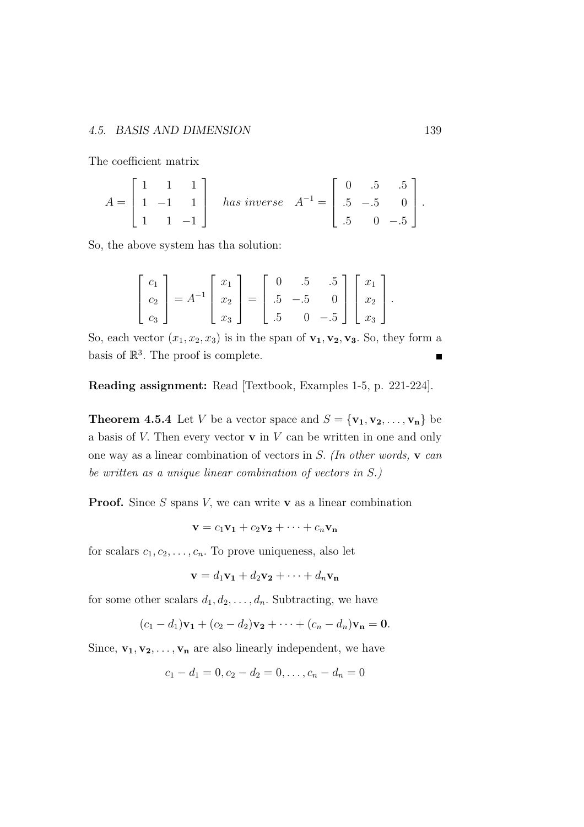The coefficient matrix

$$
A = \begin{bmatrix} 1 & 1 & 1 \\ 1 & -1 & 1 \\ 1 & 1 & -1 \end{bmatrix} \quad has \ inverse \quad A^{-1} = \begin{bmatrix} 0 & .5 & .5 \\ .5 & -.5 & 0 \\ .5 & 0 & -.5 \end{bmatrix}.
$$

So, the above system has tha solution:

$$
\begin{bmatrix} c_1 \\ c_2 \\ c_3 \end{bmatrix} = A^{-1} \begin{bmatrix} x_1 \\ x_2 \\ x_3 \end{bmatrix} = \begin{bmatrix} 0 & .5 & .5 \\ .5 & -.5 & 0 \\ .5 & 0 & -.5 \end{bmatrix} \begin{bmatrix} x_1 \\ x_2 \\ x_3 \end{bmatrix}.
$$

So, each vector  $(x_1, x_2, x_3)$  is in the span of  $v_1, v_2, v_3$ . So, they form a basis of  $\mathbb{R}^3$ . The proof is complete. Ē

Reading assignment: Read [Textbook, Examples 1-5, p. 221-224].

**Theorem 4.5.4** Let V be a vector space and  $S = {\mathbf{v}_1, \mathbf{v}_2, \dots, \mathbf{v}_n}$  be a basis of  $V$ . Then every vector  $\bf{v}$  in  $V$  can be written in one and only one way as a linear combination of vectors in S. *(In other words,* v *can be written as a unique linear combination of vectors in* S.*)*

**Proof.** Since S spans V, we can write v as a linear combination

$$
\mathbf{v} = c_1 \mathbf{v_1} + c_2 \mathbf{v_2} + \cdots + c_n \mathbf{v_n}
$$

for scalars  $c_1, c_2, \ldots, c_n$ . To prove uniqueness, also let

$$
\mathbf{v} = d_1 \mathbf{v_1} + d_2 \mathbf{v_2} + \dots + d_n \mathbf{v_n}
$$

for some other scalars  $d_1, d_2, \ldots, d_n$ . Subtracting, we have

$$
(c_1-d_1)\mathbf{v_1}+(c_2-d_2)\mathbf{v_2}+\cdots+(c_n-d_n)\mathbf{v_n}=\mathbf{0}.
$$

Since,  $\mathbf{v_1}, \mathbf{v_2}, \ldots, \mathbf{v_n}$  are also linearly independent, we have

$$
c_1 - d_1 = 0, c_2 - d_2 = 0, \dots, c_n - d_n = 0
$$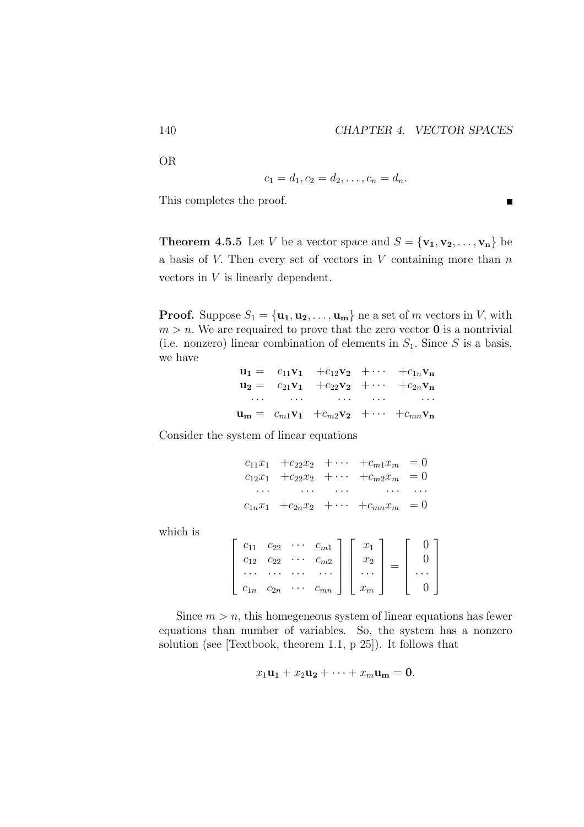$\blacksquare$ 

OR

$$
c_1 = d_1, c_2 = d_2, \dots, c_n = d_n.
$$

This completes the proof.

**Theorem 4.5.5** Let V be a vector space and  $S = {\mathbf{v}_1, \mathbf{v}_2, \dots, \mathbf{v}_n}$  be a basis of  $V$ . Then every set of vectors in  $V$  containing more than  $n$ vectors in V is linearly dependent.

**Proof.** Suppose  $S_1 = {\mathbf{u}_1, \mathbf{u}_2, \dots, \mathbf{u}_m}$  ne a set of m vectors in V, with  $m > n$ . We are requaired to prove that the zero vector **0** is a nontrivial (i.e. nonzero) linear combination of elements in  $S_1$ . Since S is a basis, we have

> $u_1 = c_{11}v_1 + c_{12}v_2 + \cdots + c_{1n}v_n$  $u_2 = c_{21}v_1 + c_{22}v_2 + \cdots + c_{2n}v_n$ · · · · · · · · · · · · · · ·  $\mathbf{u_m} = c_{m1}\mathbf{v_1} + c_{m2}\mathbf{v_2} + \cdots + c_{mn}\mathbf{v_n}$

Consider the system of linear equations

 $c_{11}x_1 + c_{22}x_2 + \cdots + c_{m1}x_m = 0$  $c_{12}x_1 + c_{22}x_2 + \cdots + c_{m2}x_m = 0$ · · · · · · · · · · · · · · ·  $c_{1n}x_1 + c_{2n}x_2 + \cdots + c_{mn}x_m = 0$ 

which is

| C <sub>11</sub> | $c_{22}$ | $C_{m1}$            |   |       |  |
|-----------------|----------|---------------------|---|-------|--|
| $C_{12}$        | $c_{22}$ | $c_{m2}$            |   | $x_2$ |  |
|                 | $\cdots$ |                     |   |       |  |
|                 | $c_{2n}$ | $\overline{c_{mn}}$ | I | $x_m$ |  |

Since  $m > n$ , this homegeneous system of linear equations has fewer equations than number of variables. So, the system has a nonzero solution (see [Textbook, theorem 1.1, p 25]). It follows that

$$
x_1\mathbf{u_1} + x_2\mathbf{u_2} + \cdots + x_m\mathbf{u_m} = \mathbf{0}.
$$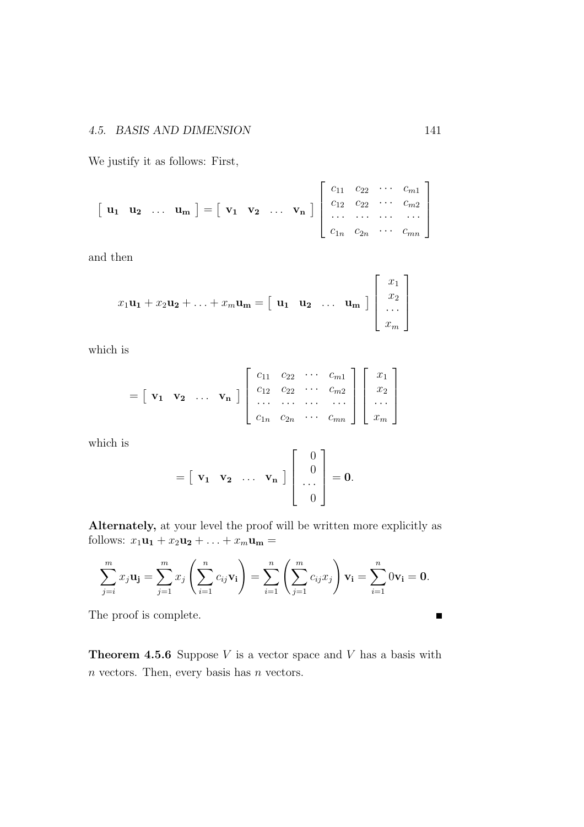We justify it as follows: First,

$$
\begin{bmatrix} \mathbf{u}_1 & \mathbf{u}_2 & \dots & \mathbf{u}_m \end{bmatrix} = \begin{bmatrix} \mathbf{v}_1 & \mathbf{v}_2 & \dots & \mathbf{v}_n \end{bmatrix} \begin{bmatrix} c_{11} & c_{22} & \cdots & c_{m1} \\ c_{12} & c_{22} & \cdots & c_{m2} \\ \vdots & \vdots & \ddots & \vdots \\ c_{1n} & c_{2n} & \cdots & c_{mn} \end{bmatrix}
$$

and then

$$
x_1\mathbf{u_1} + x_2\mathbf{u_2} + \ldots + x_m\mathbf{u_m} = \begin{bmatrix} \mathbf{u_1} & \mathbf{u_2} & \ldots & \mathbf{u_m} \end{bmatrix} \begin{bmatrix} x_1 \\ x_2 \\ \ldots \\ x_m \end{bmatrix}
$$

which is

$$
= \begin{bmatrix} \mathbf{v_1} & \mathbf{v_2} & \dots & \mathbf{v_n} \end{bmatrix} \begin{bmatrix} c_{11} & c_{22} & \dots & c_{m1} \\ c_{12} & c_{22} & \dots & c_{m2} \\ \dots & \dots & \dots & \dots \\ c_{1n} & c_{2n} & \dots & c_{mn} \end{bmatrix} \begin{bmatrix} x_1 \\ x_2 \\ \dots \\ x_m \end{bmatrix}
$$

which is

$$
= \begin{bmatrix} \mathbf{v_1} & \mathbf{v_2} & \dots & \mathbf{v_n} \end{bmatrix} \begin{bmatrix} 0 \\ 0 \\ \dots \\ 0 \end{bmatrix} = \mathbf{0}.
$$

Alternately, at your level the proof will be written more explicitly as follows:  $x_1\mathbf{u}_1 + x_2\mathbf{u}_2 + \ldots + x_m\mathbf{u}_m =$ 

$$
\sum_{j=i}^{m} x_j \mathbf{u_j} = \sum_{j=1}^{m} x_j \left( \sum_{i=1}^{n} c_{ij} \mathbf{v_i} \right) = \sum_{i=1}^{n} \left( \sum_{j=1}^{m} c_{ij} x_j \right) \mathbf{v_i} = \sum_{i=1}^{n} 0 \mathbf{v_i} = \mathbf{0}.
$$

The proof is complete.

**Theorem 4.5.6** Suppose  $V$  is a vector space and  $V$  has a basis with  $n$  vectors. Then, every basis has  $n$  vectors.

 $\blacksquare$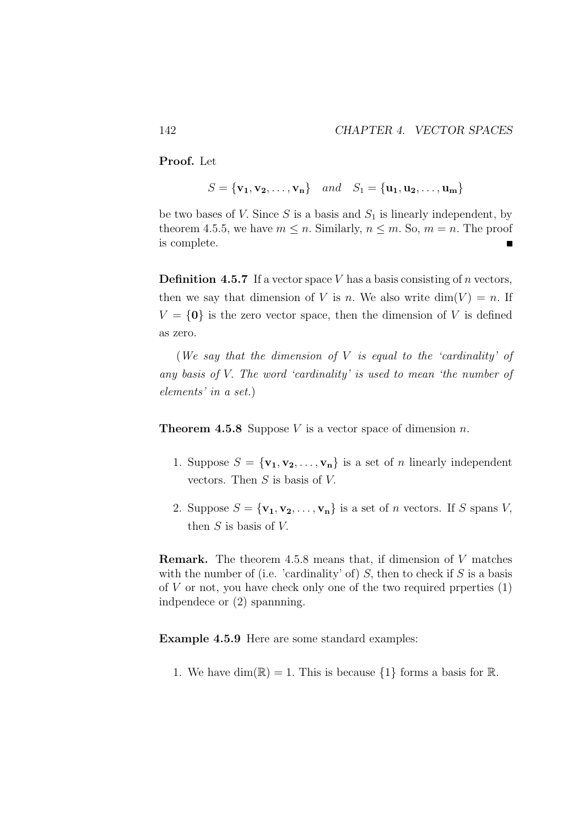Proof. Let

 $S = {\bf{v_1, v_2, ..., v_n}} \quad and \quad S_1 = {\bf{u_1, u_2, ..., u_m}}$ 

be two bases of V. Since  $S$  is a basis and  $S_1$  is linearly independent, by theorem 4.5.5, we have  $m \leq n$ . Similarly,  $n \leq m$ . So,  $m = n$ . The proof is complete.  $\blacksquare$ 

**Definition 4.5.7** If a vector space V has a basis consisting of n vectors, then we say that dimension of V is n. We also write  $\dim(V) = n$ . If  $V = \{0\}$  is the zero vector space, then the dimension of V is defined as zero.

(*We say that the dimension of* V *is equal to the 'cardinality' of any basis of* V. *The word 'cardinality' is used to mean 'the number of elements' in a set.*)

**Theorem 4.5.8** Suppose V is a vector space of dimension n.

- 1. Suppose  $S = {\mathbf{v}_1, \mathbf{v}_2, ..., \mathbf{v}_n}$  is a set of *n* linearly independent vectors. Then  $S$  is basis of  $V$ .
- 2. Suppose  $S = {\mathbf{v_1}, \mathbf{v_2}, \dots, \mathbf{v_n}}$  is a set of *n* vectors. If *S* spans *V*, then  $S$  is basis of  $V$ .

Remark. The theorem 4.5.8 means that, if dimension of V matches with the number of (i.e. 'cardinality' of)  $S$ , then to check if  $S$  is a basis of  $V$  or not, you have check only one of the two required prperties  $(1)$ indpendece or (2) spannning.

Example 4.5.9 Here are some standard examples:

1. We have  $\dim(\mathbb{R}) = 1$ . This is because  $\{1\}$  forms a basis for  $\mathbb{R}$ .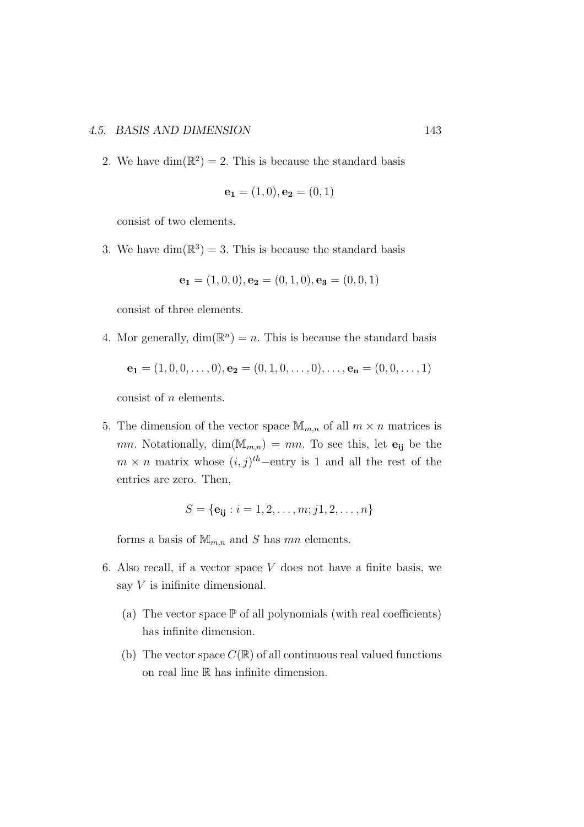### 4.5. BASIS AND DIMENSION 143

2. We have  $\dim(\mathbb{R}^2) = 2$ . This is because the standard basis

$$
\mathbf{e_1} = (1,0), \mathbf{e_2} = (0,1)
$$

consist of two elements.

3. We have  $\dim(\mathbb{R}^3) = 3$ . This is because the standard basis

$$
\mathbf{e_1} = (1,0,0), \mathbf{e_2} = (0,1,0), \mathbf{e_3} = (0,0,1)
$$

consist of three elements.

4. Mor generally,  $\dim(\mathbb{R}^n) = n$ . This is because the standard basis

$$
\mathbf{e_1} = (1, 0, 0, \dots, 0), \mathbf{e_2} = (0, 1, 0, \dots, 0), \dots, \mathbf{e_n} = (0, 0, \dots, 1)
$$

consist of n elements.

5. The dimension of the vector space  $\mathbb{M}_{m,n}$  of all  $m \times n$  matrices is mn. Notationally,  $\dim(\mathbb{M}_{m,n}) = mn$ . To see this, let  $\mathbf{e}_{ij}$  be the  $m \times n$  matrix whose  $(i, j)$ <sup>th</sup>-entry is 1 and all the rest of the entries are zero. Then,

$$
S = \{ \mathbf{e}_{ij} : i = 1, 2, \dots, m; j1, 2, \dots, n \}
$$

forms a basis of  $\mathbb{M}_{m,n}$  and S has mn elements.

- 6. Also recall, if a vector space  $V$  does not have a finite basis, we say V is inifinite dimensional.
	- (a) The vector space  $\mathbb P$  of all polynomials (with real coefficients) has infinite dimension.
	- (b) The vector space  $C(\mathbb{R})$  of all continuous real valued functions on real line R has infinite dimension.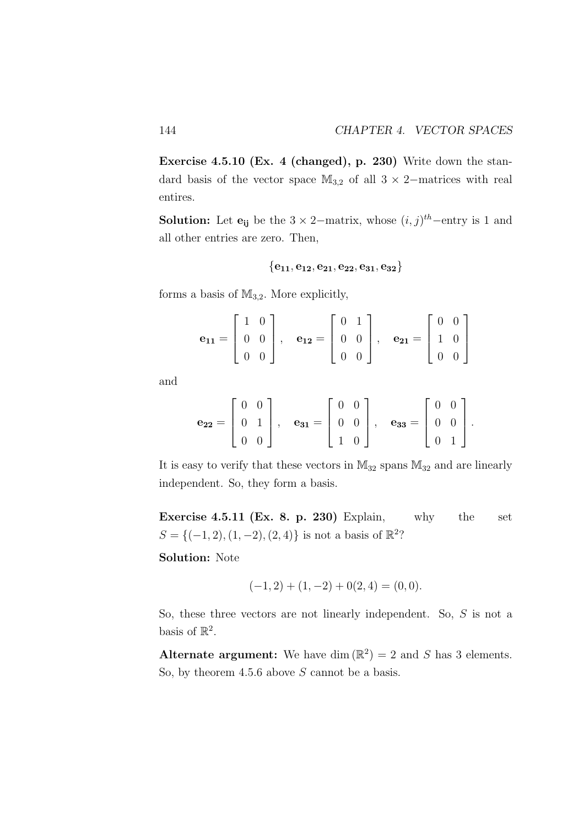Exercise 4.5.10 (Ex. 4 (changed), p. 230) Write down the standard basis of the vector space  $M_{3,2}$  of all  $3 \times 2$ −matrices with real entires.

**Solution:** Let  $\mathbf{e}_{ij}$  be the  $3 \times 2$ -matrix, whose  $(i, j)$ <sup>th</sup>-entry is 1 and all other entries are zero. Then,

$$
\{e_{11},e_{12},e_{21},e_{22},e_{31},e_{32}\}
$$

forms a basis of  $M_{3,2}$ . More explicitly,

$$
\mathbf{e}_{11} = \begin{bmatrix} 1 & 0 \\ 0 & 0 \\ 0 & 0 \end{bmatrix}, \quad \mathbf{e}_{12} = \begin{bmatrix} 0 & 1 \\ 0 & 0 \\ 0 & 0 \end{bmatrix}, \quad \mathbf{e}_{21} = \begin{bmatrix} 0 & 0 \\ 1 & 0 \\ 0 & 0 \end{bmatrix}
$$

and

$$
\mathbf{e}_{22} = \left[ \begin{array}{cc} 0 & 0 \\ 0 & 1 \\ 0 & 0 \end{array} \right], \quad \mathbf{e}_{31} = \left[ \begin{array}{cc} 0 & 0 \\ 0 & 0 \\ 1 & 0 \end{array} \right], \quad \mathbf{e}_{33} = \left[ \begin{array}{cc} 0 & 0 \\ 0 & 0 \\ 0 & 1 \end{array} \right].
$$

It is easy to verify that these vectors in  $M_{32}$  spans  $M_{32}$  and are linearly independent. So, they form a basis.

Exercise 4.5.11 (Ex. 8. p. 230) Explain, why the set  $S = \{(-1, 2), (1, -2), (2, 4)\}\$ is not a basis of  $\mathbb{R}^2$ ?

Solution: Note

$$
(-1,2) + (1,-2) + 0(2,4) = (0,0).
$$

So, these three vectors are not linearly independent. So, S is not a basis of  $\mathbb{R}^2$ .

Alternate argument: We have dim  $(\mathbb{R}^2) = 2$  and S has 3 elements. So, by theorem  $4.5.6$  above S cannot be a basis.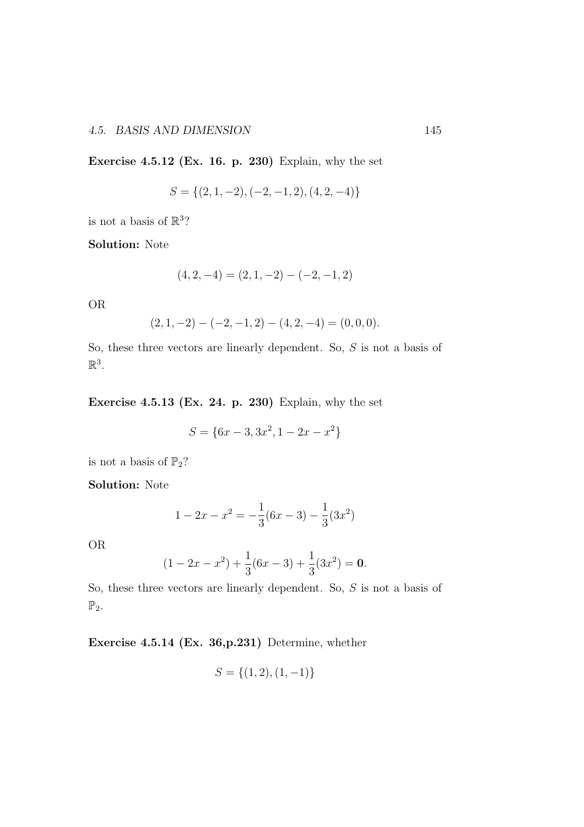Exercise 4.5.12 (Ex. 16. p. 230) Explain, why the set

$$
S = \{(2, 1, -2), (-2, -1, 2), (4, 2, -4)\}
$$

is not a basis of  $\mathbb{R}^3$ ?

Solution: Note

$$
(4, 2, -4) = (2, 1, -2) - (-2, -1, 2)
$$

OR

$$
(2, 1, -2) - (-2, -1, 2) - (4, 2, -4) = (0, 0, 0).
$$

So, these three vectors are linearly dependent. So, S is not a basis of  $\mathbb{R}^3$ .

Exercise 4.5.13 (Ex. 24. p. 230) Explain, why the set

$$
S = \{6x - 3, 3x^2, 1 - 2x - x^2\}
$$

is not a basis of  $\mathbb{P}_2$ ?

Solution: Note

$$
1 - 2x - x^2 = -\frac{1}{3}(6x - 3) - \frac{1}{3}(3x^2)
$$

OR

$$
(1 - 2x - x2) + \frac{1}{3}(6x - 3) + \frac{1}{3}(3x2) = 0.
$$

So, these three vectors are linearly dependent. So, S is not a basis of  $\mathbb{P}_2$ .

Exercise 4.5.14 (Ex. 36,p.231) Determine, whether

$$
S = \{(1, 2), (1, -1)\}
$$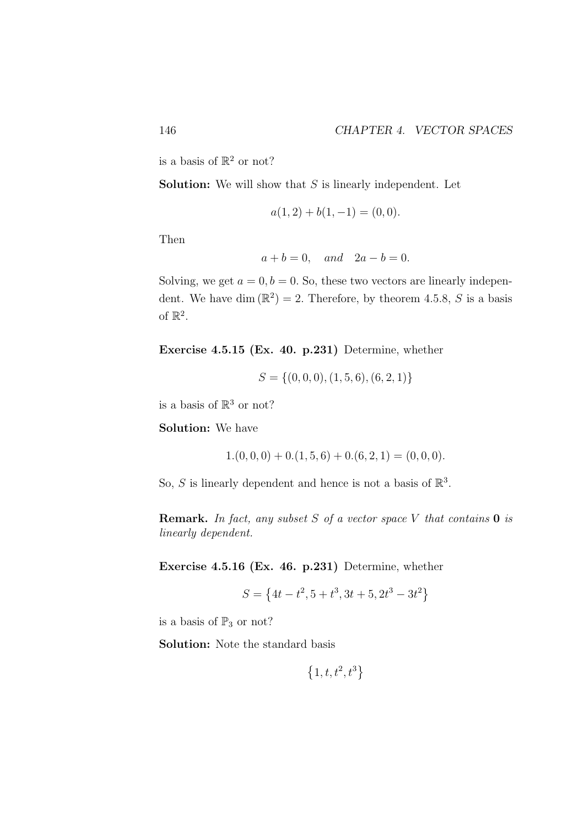is a basis of  $\mathbb{R}^2$  or not?

**Solution:** We will show that  $S$  is linearly independent. Let

$$
a(1,2) + b(1,-1) = (0,0).
$$

Then

$$
a + b = 0, \quad and \quad 2a - b = 0.
$$

Solving, we get  $a = 0, b = 0$ . So, these two vectors are linearly independent. We have dim  $(\mathbb{R}^2) = 2$ . Therefore, by theorem 4.5.8, S is a basis of  $\mathbb{R}^2$ .

Exercise 4.5.15 (Ex. 40. p.231) Determine, whether

$$
S = \{(0,0,0), (1,5,6), (6,2,1)\}
$$

is a basis of  $\mathbb{R}^3$  or not?

Solution: We have

$$
1.(0,0,0) + 0.(1,5,6) + 0.(6,2,1) = (0,0,0).
$$

So, S is linearly dependent and hence is not a basis of  $\mathbb{R}^3$ .

Remark. *In fact, any subset* S *of a vector space* V *that contains* 0 *is linearly dependent.*

Exercise 4.5.16 (Ex. 46. p.231) Determine, whether

$$
S = \left\{ 4t - t^2, 5 + t^3, 3t + 5, 2t^3 - 3t^2 \right\}
$$

is a basis of  $\mathbb{P}_3$  or not?

Solution: Note the standard basis

$$
\left\{1,t,t^2,t^3\right\}
$$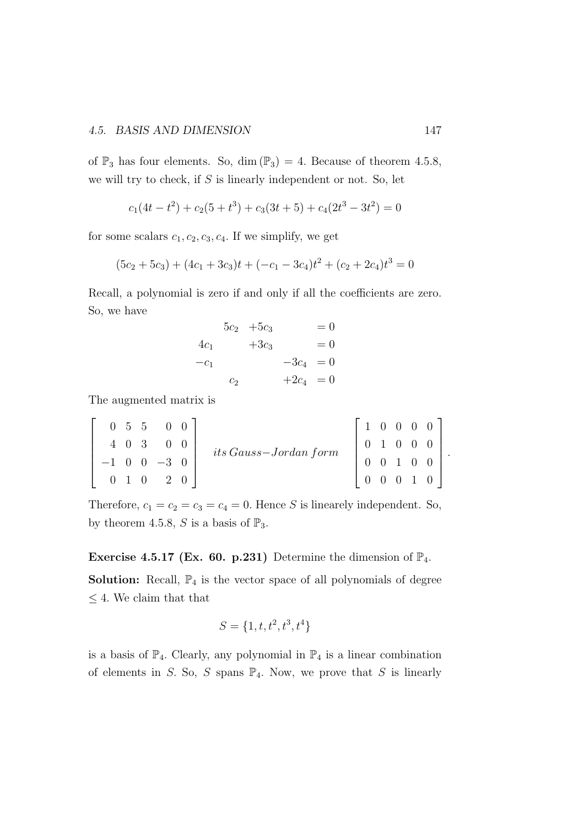of  $\mathbb{P}_3$  has four elements. So, dim  $(\mathbb{P}_3) = 4$ . Because of theorem 4.5.8, we will try to check, if  $S$  is linearly independent or not. So, let

$$
c_1(4t - t^2) + c_2(5 + t^3) + c_3(3t + 5) + c_4(2t^3 - 3t^2) = 0
$$

for some scalars  $c_1, c_2, c_3, c_4$ . If we simplify, we get

$$
(5c2 + 5c3) + (4c1 + 3c3)t + (-c1 - 3c4)t2 + (c2 + 2c4)t3 = 0
$$

Recall, a polynomial is zero if and only if all the coefficients are zero. So, we have

$$
5c_2 + 5c_3 = 0
$$
  
\n
$$
4c_1 + 3c_3 = 0
$$
  
\n
$$
-c_1 -3c_4 = 0
$$
  
\n
$$
c_2 + 2c_4 = 0
$$

The augmented matrix is

|     |     | $0\quad 5\quad 5\quad 0\quad 0$ |  |                           | 1 0 0 0 0 |  |                                                                          |  |
|-----|-----|---------------------------------|--|---------------------------|-----------|--|--------------------------------------------------------------------------|--|
| 4 0 | - 3 |                                 |  | $its\ Gauss-Jordan\ form$ |           |  |                                                                          |  |
|     |     | $-1$ 0 0 $-3$ 0                 |  |                           |           |  | $\begin{array}{cccc} 0 & 1 & 0 & 0 & 0 \\ 0 & 0 & 1 & 0 & 0 \end{array}$ |  |
|     | 1 0 | 2 0                             |  |                           |           |  | $0 \t 0 \t 1 \t 0$                                                       |  |

Therefore,  $c_1 = c_2 = c_3 = c_4 = 0$ . Hence S is linearely independent. So, by theorem 4.5.8, S is a basis of  $\mathbb{P}_3$ .

**Exercise 4.5.17 (Ex. 60. p.231)** Determine the dimension of  $\mathbb{P}_4$ .

**Solution:** Recall,  $\mathbb{P}_4$  is the vector space of all polynomials of degree  $\leq 4.$  We claim that that

$$
S = \{1, t, t^2, t^3, t^4\}
$$

is a basis of  $\mathbb{P}_4$ . Clearly, any polynomial in  $\mathbb{P}_4$  is a linear combination of elements in S. So, S spans  $\mathbb{P}_4$ . Now, we prove that S is linearly

.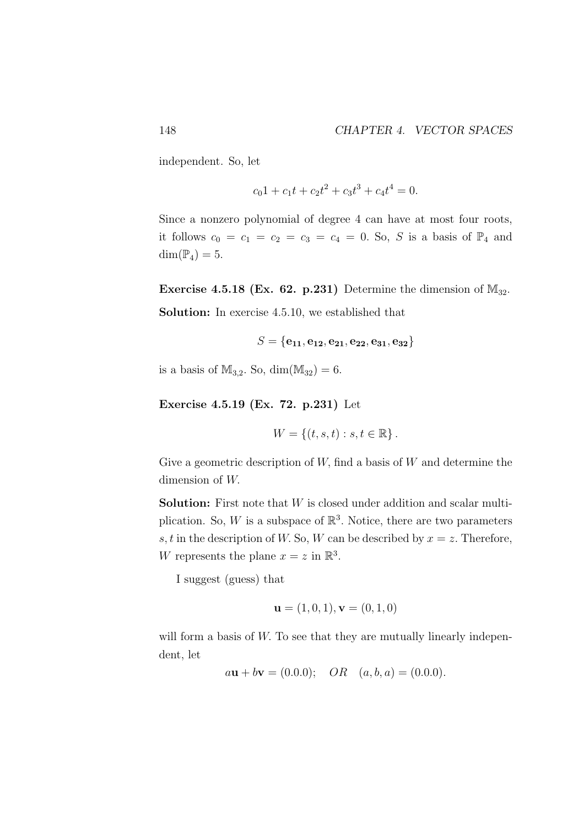independent. So, let

$$
c_0 1 + c_1 t + c_2 t^2 + c_3 t^3 + c_4 t^4 = 0.
$$

Since a nonzero polynomial of degree 4 can have at most four roots, it follows  $c_0 = c_1 = c_2 = c_3 = c_4 = 0$ . So, S is a basis of  $\mathbb{P}_4$  and  $\dim(\mathbb{P}_4) = 5.$ 

Exercise 4.5.18 (Ex. 62. p.231) Determine the dimension of  $M_{32}$ . Solution: In exercise 4.5.10, we established that

$$
S = \{e_{11}, e_{12}, e_{21}, e_{22}, e_{31}, e_{32}\}\
$$

is a basis of  $M_{3,2}$ . So, dim( $M_{32}$ ) = 6.

Exercise 4.5.19 (Ex. 72. p.231) Let

$$
W = \{(t, s, t) : s, t \in \mathbb{R}\}.
$$

Give a geometric description of  $W$ , find a basis of  $W$  and determine the dimension of W.

**Solution:** First note that  $W$  is closed under addition and scalar multiplication. So, W is a subspace of  $\mathbb{R}^3$ . Notice, there are two parameters s, t in the description of W. So, W can be described by  $x = z$ . Therefore, W represents the plane  $x = z$  in  $\mathbb{R}^3$ .

I suggest (guess) that

$$
\mathbf{u} = (1, 0, 1), \mathbf{v} = (0, 1, 0)
$$

will form a basis of W. To see that they are mutually linearly independent, let

$$
a\mathbf{u} + b\mathbf{v} = (0.0.0); \quad OR \quad (a, b, a) = (0.0.0).
$$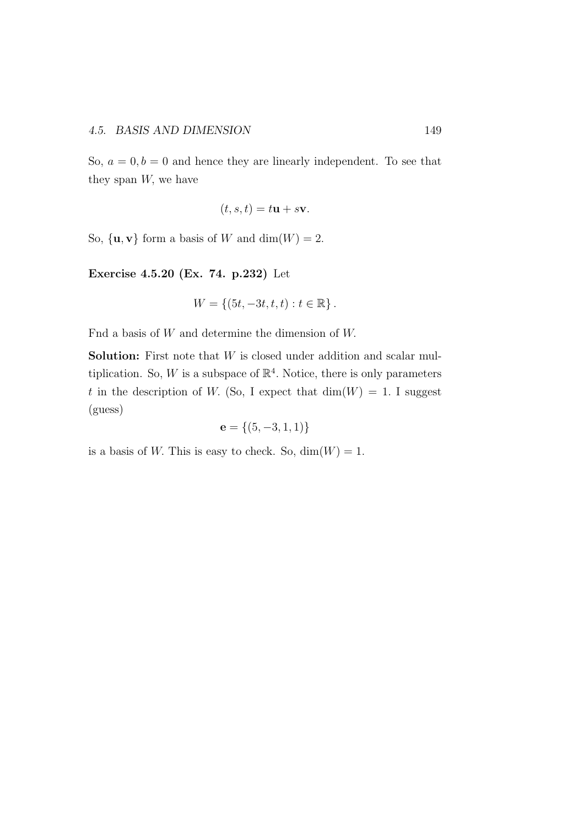So,  $a = 0, b = 0$  and hence they are linearly independent. To see that they span  $W$ , we have

$$
(t, s, t) = t\mathbf{u} + s\mathbf{v}.
$$

So,  $\{u, v\}$  form a basis of W and dim $(W) = 2$ .

Exercise 4.5.20 (Ex. 74. p.232) Let

$$
W = \{ (5t, -3t, t, t) : t \in \mathbb{R} \}.
$$

Fnd a basis of  $W$  and determine the dimension of  $W$ .

**Solution:** First note that  $W$  is closed under addition and scalar multiplication. So, W is a subspace of  $\mathbb{R}^4$ . Notice, there is only parameters t in the description of W. (So, I expect that  $\dim(W) = 1$ . I suggest (guess)

$$
\mathbf{e} = \{(5, -3, 1, 1)\}
$$

is a basis of W. This is easy to check. So,  $\dim(W) = 1$ .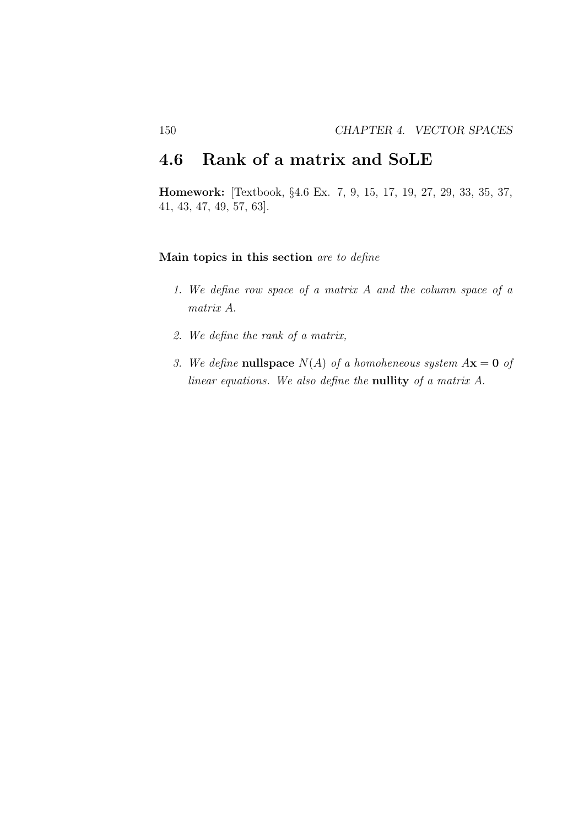## 4.6 Rank of a matrix and SoLE

Homework: [Textbook, §4.6 Ex. 7, 9, 15, 17, 19, 27, 29, 33, 35, 37, 41, 43, 47, 49, 57, 63].

### Main topics in this section *are to define*

- *1. We define row space of a matrix* A *and the column space of a matrix* A.
- *2. We define the rank of a matrix,*
- *3. We define* **nullspace**  $N(A)$  *of a homoheneous system*  $A\mathbf{x} = \mathbf{0}$  *of linear equations. We also define the* nullity *of a matrix* A.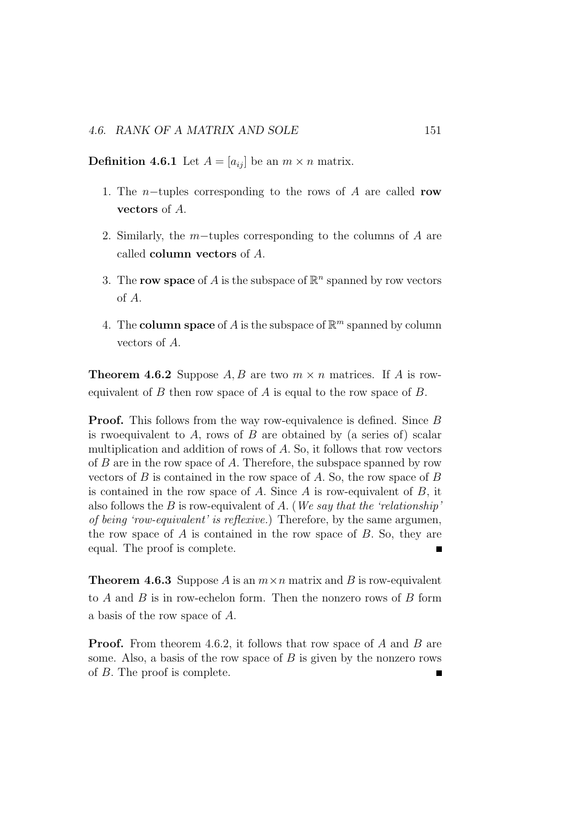**Definition 4.6.1** Let  $A = [a_{ij}]$  be an  $m \times n$  matrix.

- 1. The *n*−tuples corresponding to the rows of A are called row vectors of A.
- 2. Similarly, the m−tuples corresponding to the columns of A are called column vectors of A.
- 3. The row space of A is the subspace of  $\mathbb{R}^n$  spanned by row vectors of A.
- 4. The **column space** of A is the subspace of  $\mathbb{R}^m$  spanned by column vectors of A.

**Theorem 4.6.2** Suppose A, B are two  $m \times n$  matrices. If A is rowequivalent of  $B$  then row space of  $A$  is equal to the row space of  $B$ .

**Proof.** This follows from the way row-equivalence is defined. Since B is rwoequivalent to  $A$ , rows of  $B$  are obtained by (a series of) scalar multiplication and addition of rows of A. So, it follows that row vectors of  $B$  are in the row space of  $A$ . Therefore, the subspace spanned by row vectors of  $B$  is contained in the row space of  $A$ . So, the row space of  $B$ is contained in the row space of  $A$ . Since  $A$  is row-equivalent of  $B$ , it also follows the B is row-equivalent of A. (*We say that the 'relationship' of being 'row-equivalent' is reflexive.*) Therefore, by the same argumen, the row space of A is contained in the row space of B. So, they are equal. The proof is complete. Ē

**Theorem 4.6.3** Suppose A is an  $m \times n$  matrix and B is row-equivalent to  $A$  and  $B$  is in row-echelon form. Then the nonzero rows of  $B$  form a basis of the row space of A.

**Proof.** From theorem 4.6.2, it follows that row space of A and B are some. Also, a basis of the row space of  $B$  is given by the nonzero rows of B. The proof is complete.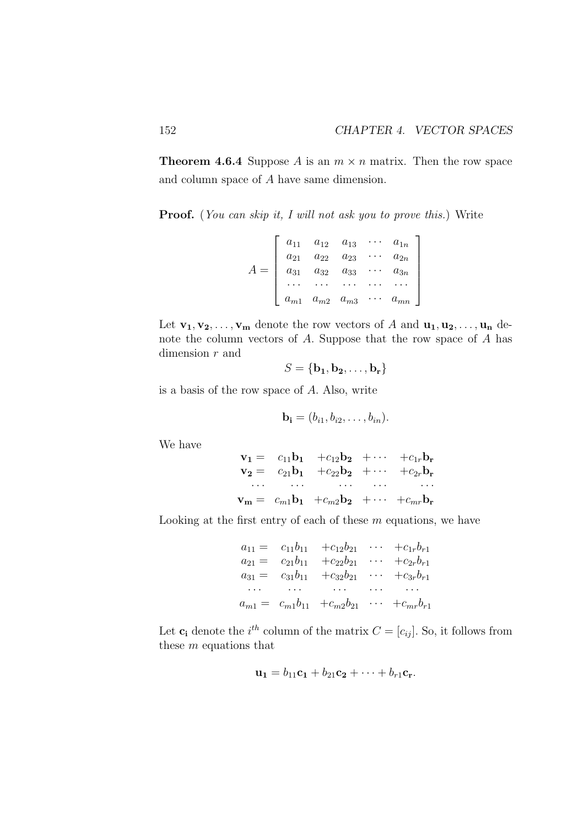**Theorem 4.6.4** Suppose A is an  $m \times n$  matrix. Then the row space and column space of A have same dimension.

Proof. (*You can skip it, I will not ask you to prove this.*) Write

$$
A = \begin{bmatrix} a_{11} & a_{12} & a_{13} & \cdots & a_{1n} \\ a_{21} & a_{22} & a_{23} & \cdots & a_{2n} \\ a_{31} & a_{32} & a_{33} & \cdots & a_{3n} \\ \cdots & \cdots & \cdots & \cdots & \cdots \\ a_{m1} & a_{m2} & a_{m3} & \cdots & a_{mn} \end{bmatrix}
$$

Let  $\mathbf{v_1}, \mathbf{v_2}, \ldots, \mathbf{v_m}$  denote the row vectors of A and  $\mathbf{u_1}, \mathbf{u_2}, \ldots, \mathbf{u_n}$  denote the column vectors of A. Suppose that the row space of A has dimension  $r$  and

$$
S = \{ \mathbf{b_1}, \mathbf{b_2}, \dots, \mathbf{b_r} \}
$$

is a basis of the row space of A. Also, write

$$
\mathbf{b_i}=(b_{i1},b_{i2},\ldots,b_{in}).
$$

We have

 $v_1 = c_{11}b_1 + c_{12}b_2 + \cdots + c_{1r}b_r$  $v_2 = c_{21}b_1 + c_{22}b_2 + \cdots + c_{2r}b_r$ · · · · · · · · · · · · · · ·  $\mathbf{v_m} = c_{m1} \mathbf{b_1} + c_{m2} \mathbf{b_2} + \cdots + c_{mr} \mathbf{b_r}$ 

Looking at the first entry of each of these  $m$  equations, we have

|  | $a_{11} = c_{11}b_{11} + c_{12}b_{21} \cdots + c_{1r}b_{r1}$                                                      |                          |
|--|-------------------------------------------------------------------------------------------------------------------|--------------------------|
|  | $a_{21} = c_{21}b_{11} + c_{22}b_{21}$                                                                            | $\cdots$ $+c_{2r}b_{r1}$ |
|  | $a_{31} = c_{31}b_{11} + c_{32}b_{21} \cdots + c_{3r}b_{r1}$                                                      |                          |
|  | , we are the second contract of the second contract of the second contract of the second contract of the $\alpha$ |                          |
|  | $a_{m1} = c_{m1}b_{11} + c_{m2}b_{21} \cdots + c_{mr}b_{r1}$                                                      |                          |

Let  $\mathbf{c_i}$  denote the *i*<sup>th</sup> column of the matrix  $C = [c_{ij}]$ . So, it follows from these m equations that

$$
\mathbf{u_1} = b_{11}\mathbf{c_1} + b_{21}\mathbf{c_2} + \cdots + b_{r1}\mathbf{c_r}.
$$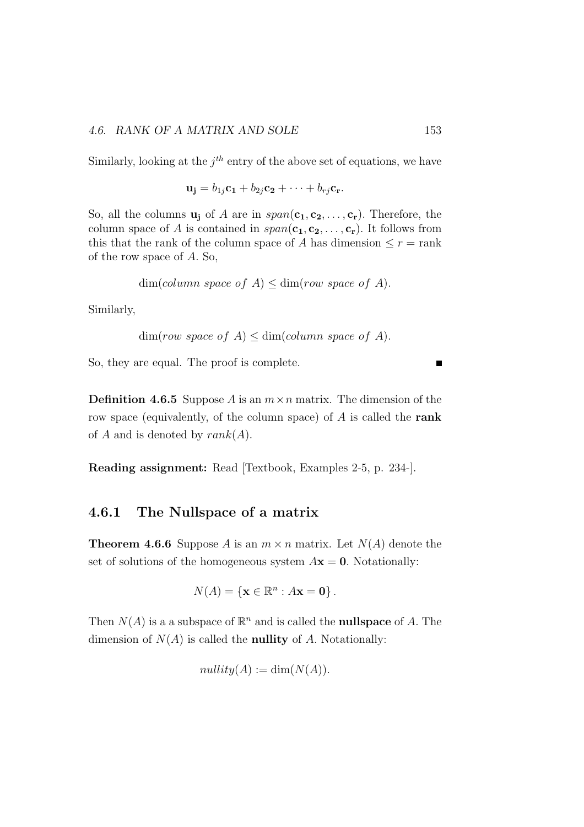Similarly, looking at the  $j<sup>th</sup>$  entry of the above set of equations, we have

$$
\mathbf{u_j} = b_{1j}\mathbf{c_1} + b_{2j}\mathbf{c_2} + \cdots + b_{rj}\mathbf{c_r}.
$$

So, all the columns  $\mathbf{u}_i$  of A are in  $span(\mathbf{c}_1, \mathbf{c}_2, \dots, \mathbf{c}_r)$ . Therefore, the column space of A is contained in  $span(c_1, c_2, \ldots, c_r)$ . It follows from this that the rank of the column space of A has dimension  $\leq r = \text{rank}$ of the row space of A. So,

$$
\dim(column\ space\ of\ A) \leq \dim(row\ space\ of\ A).
$$

Similarly,

$$
\dim(row\ space\ of\ A) \le \dim(column\ space\ of\ A).
$$

So, they are equal. The proof is complete.

**Definition 4.6.5** Suppose A is an  $m \times n$  matrix. The dimension of the row space (equivalently, of the column space) of A is called the rank of A and is denoted by  $rank(A)$ .

Reading assignment: Read [Textbook, Examples 2-5, p. 234-].

### 4.6.1 The Nullspace of a matrix

**Theorem 4.6.6** Suppose A is an  $m \times n$  matrix. Let  $N(A)$  denote the set of solutions of the homogeneous system  $A\mathbf{x} = \mathbf{0}$ . Notationally:

$$
N(A) = \{ \mathbf{x} \in \mathbb{R}^n : A\mathbf{x} = \mathbf{0} \}.
$$

Then  $N(A)$  is a a subspace of  $\mathbb{R}^n$  and is called the **nullspace** of A. The dimension of  $N(A)$  is called the **nullity** of A. Notationally:

$$
nullity(A) := \dim(N(A)).
$$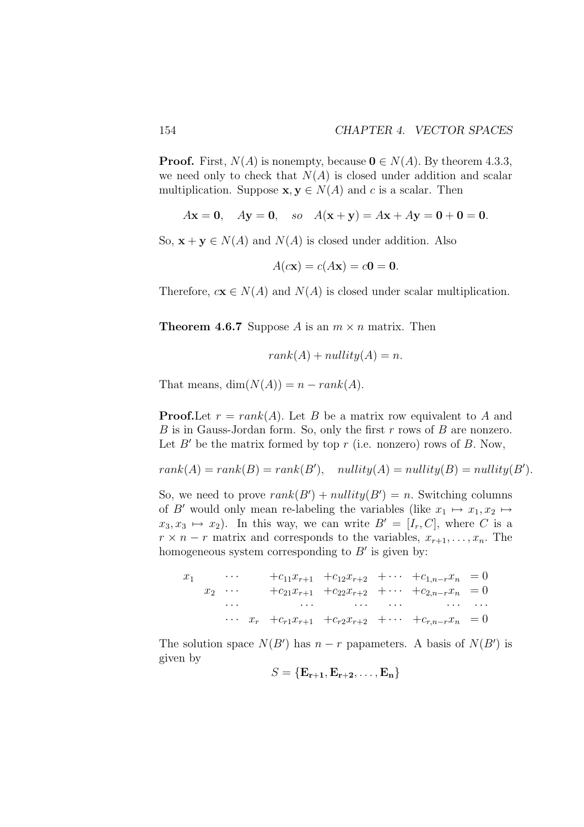**Proof.** First,  $N(A)$  is nonempty, because  $0 \in N(A)$ . By theorem 4.3.3, we need only to check that  $N(A)$  is closed under addition and scalar multiplication. Suppose  $\mathbf{x}, \mathbf{y} \in N(A)$  and c is a scalar. Then

$$
Ax = 0
$$
,  $Ay = 0$ , so  $A(x + y) = Ax + Ay = 0 + 0 = 0$ .

So,  $\mathbf{x} + \mathbf{y} \in N(A)$  and  $N(A)$  is closed under addition. Also

$$
A(c\mathbf{x}) = c(A\mathbf{x}) = c\mathbf{0} = \mathbf{0}.
$$

Therefore,  $c\mathbf{x} \in N(A)$  and  $N(A)$  is closed under scalar multiplication.

**Theorem 4.6.7** Suppose A is an  $m \times n$  matrix. Then

$$
rank(A) + nullity(A) = n.
$$

That means,  $dim(N(A)) = n - rank(A)$ .

**Proof.** Let  $r = rank(A)$ . Let B be a matrix row equivalent to A and B is in Gauss-Jordan form. So, only the first  $r$  rows of  $B$  are nonzero. Let  $B'$  be the matrix formed by top r (i.e. nonzero) rows of B. Now,

$$
rank(A) = rank(B) = rank(B'), nullity(A) = nullity(B) = nullity(B').
$$

So, we need to prove  $rank(B') + nullity(B') = n$ . Switching columns of B' would only mean re-labeling the variables (like  $x_1 \mapsto x_1, x_2 \mapsto$  $x_3, x_3 \mapsto x_2$ ). In this way, we can write  $B' = [I_r, C]$ , where C is a  $r \times n - r$  matrix and corresponds to the variables,  $x_{r+1}, \ldots, x_n$ . The homogeneous system corresponding to  $B'$  is given by:

$$
x_1 \cdots +c_{11}x_{r+1} +c_{12}x_{r+2} + \cdots +c_{1,n-r}x_n = 0
$$
  
\n
$$
x_2 \cdots +c_{21}x_{r+1} +c_{22}x_{r+2} + \cdots +c_{2,n-r}x_n = 0
$$
  
\n
$$
\cdots \cdots \cdots \cdots \cdots \cdots \cdots \cdots
$$
  
\n
$$
\cdots x_r +c_{r1}x_{r+1} +c_{r2}x_{r+2} + \cdots +c_{r,n-r}x_n = 0
$$

The solution space  $N(B')$  has  $n-r$  papameters. A basis of  $N(B')$  is given by

$$
S = {\mathbf{E_{r+1}, E_{r+2}, \ldots, E_n}}
$$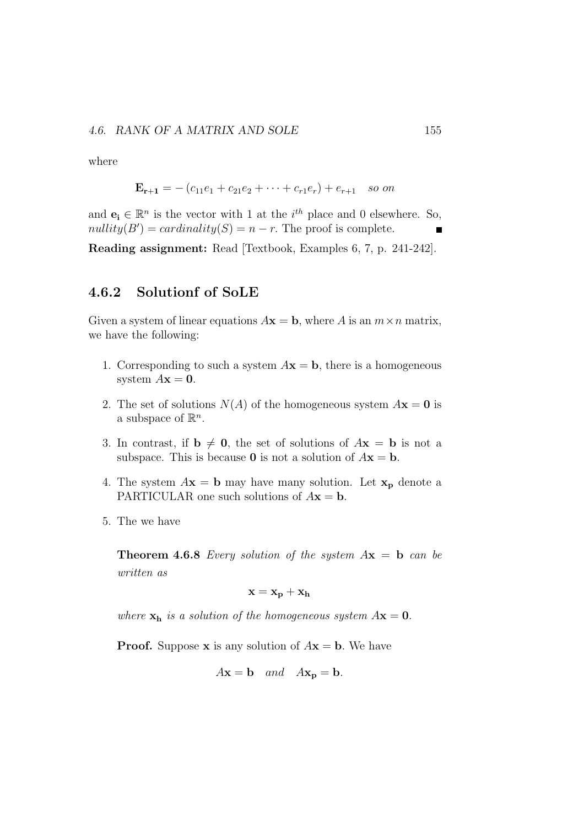where

$$
\mathbf{E}_{\mathbf{r}+1} = -(c_{11}e_1 + c_{21}e_2 + \cdots + c_{r1}e_r) + e_{r+1} \text{ so on}
$$

and  $\mathbf{e}_i \in \mathbb{R}^n$  is the vector with 1 at the  $i^{th}$  place and 0 elsewhere. So,  $nullity(B') = cardinality(S) = n - r$ . The proof is complete.

Reading assignment: Read [Textbook, Examples 6, 7, p. 241-242].

### 4.6.2 Solutionf of SoLE

Given a system of linear equations  $A\mathbf{x} = \mathbf{b}$ , where A is an  $m \times n$  matrix, we have the following:

- 1. Corresponding to such a system  $A\mathbf{x} = \mathbf{b}$ , there is a homogeneous system  $A\mathbf{x} = \mathbf{0}$ .
- 2. The set of solutions  $N(A)$  of the homogeneous system  $A\mathbf{x} = \mathbf{0}$  is a subspace of  $\mathbb{R}^n$ .
- 3. In contrast, if  $\mathbf{b} \neq \mathbf{0}$ , the set of solutions of  $A\mathbf{x} = \mathbf{b}$  is not a subspace. This is because **0** is not a solution of  $A\mathbf{x} = \mathbf{b}$ .
- 4. The system  $A\mathbf{x} = \mathbf{b}$  may have many solution. Let  $\mathbf{x}_p$  denote a PARTICULAR one such solutions of  $A\mathbf{x} = \mathbf{b}$ .
- 5. The we have

**Theorem 4.6.8** *Every solution of the system*  $A\mathbf{x} = \mathbf{b}$  *can be written as*

$$
\mathbf{x} = \mathbf{x_p} + \mathbf{x_h}
$$

*where*  $\mathbf{x_h}$  *is a solution of the homogeneous system*  $A\mathbf{x} = \mathbf{0}$ .

**Proof.** Suppose **x** is any solution of  $A$ **x** = **b**. We have

$$
Ax = b
$$
 and  $Ax_p = b$ .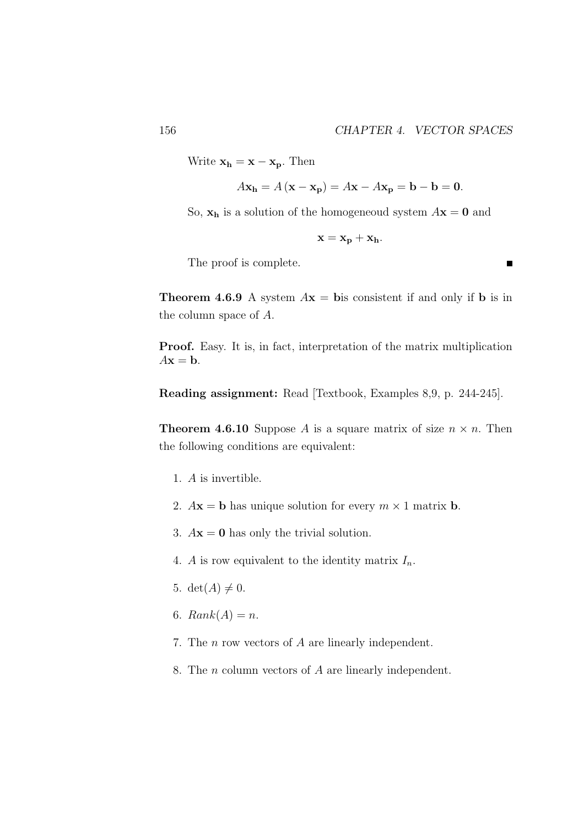$\blacksquare$ 

Write  $\mathbf{x_h} = \mathbf{x} - \mathbf{x_p}$ . Then

$$
A\mathbf{x_h} = A(\mathbf{x} - \mathbf{x_p}) = A\mathbf{x} - A\mathbf{x_p} = \mathbf{b} - \mathbf{b} = \mathbf{0}.
$$

So,  $x_h$  is a solution of the homogeneoud system  $A x = 0$  and

$$
\mathbf{x} = \mathbf{x_p} + \mathbf{x_h}.
$$

The proof is complete.

**Theorem 4.6.9** A system  $A\mathbf{x} = \mathbf{b}$  is consistent if and only if **b** is in the column space of A.

Proof. Easy. It is, in fact, interpretation of the matrix multiplication  $A\mathbf{x} = \mathbf{b}$ .

Reading assignment: Read [Textbook, Examples 8,9, p. 244-245].

**Theorem 4.6.10** Suppose A is a square matrix of size  $n \times n$ . Then the following conditions are equivalent:

- 1. A is invertible.
- 2.  $A$ **x** = **b** has unique solution for every  $m \times 1$  matrix **b**.
- 3.  $A\mathbf{x} = \mathbf{0}$  has only the trivial solution.
- 4. A is row equivalent to the identity matrix  $I_n$ .
- 5. det( $A \neq 0$ .
- 6.  $Rank(A) = n$ .
- 7. The n row vectors of A are linearly independent.
- 8. The n column vectors of A are linearly independent.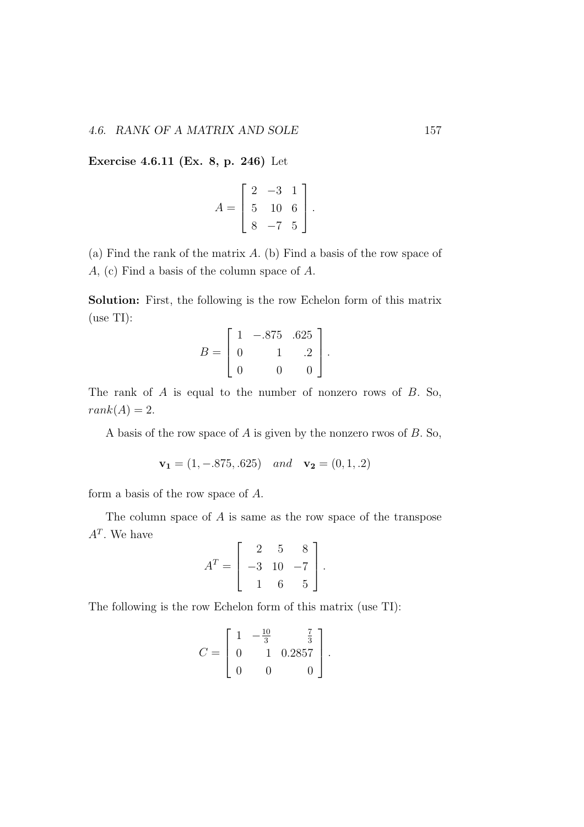Exercise 4.6.11 (Ex. 8, p. 246) Let

$$
A = \left[ \begin{array}{rrr} 2 & -3 & 1 \\ 5 & 10 & 6 \\ 8 & -7 & 5 \end{array} \right].
$$

(a) Find the rank of the matrix A. (b) Find a basis of the row space of A, (c) Find a basis of the column space of A.

Solution: First, the following is the row Echelon form of this matrix (use TI):

$$
B = \begin{bmatrix} 1 & -.875 & .625 \\ 0 & 1 & .2 \\ 0 & 0 & 0 \end{bmatrix}.
$$

The rank of A is equal to the number of nonzero rows of B. So,  $rank(A) = 2.$ 

A basis of the row space of A is given by the nonzero rwos of B. So,

$$
\mathbf{v_1} = (1, -0.875, 0.625) \quad and \quad \mathbf{v_2} = (0, 1, 0.2)
$$

form a basis of the row space of A.

The column space of  $A$  is same as the row space of the transpose  $A<sup>T</sup>$ . We have  $\mathsf{r}$  $\overline{1}$ 

$$
A^T = \begin{bmatrix} 2 & 5 & 8 \\ -3 & 10 & -7 \\ 1 & 6 & 5 \end{bmatrix}.
$$

The following is the row Echelon form of this matrix (use TI):

$$
C = \left[ \begin{array}{rrr} 1 & -\frac{10}{3} & \frac{7}{3} \\ 0 & 1 & 0.2857 \\ 0 & 0 & 0 \end{array} \right].
$$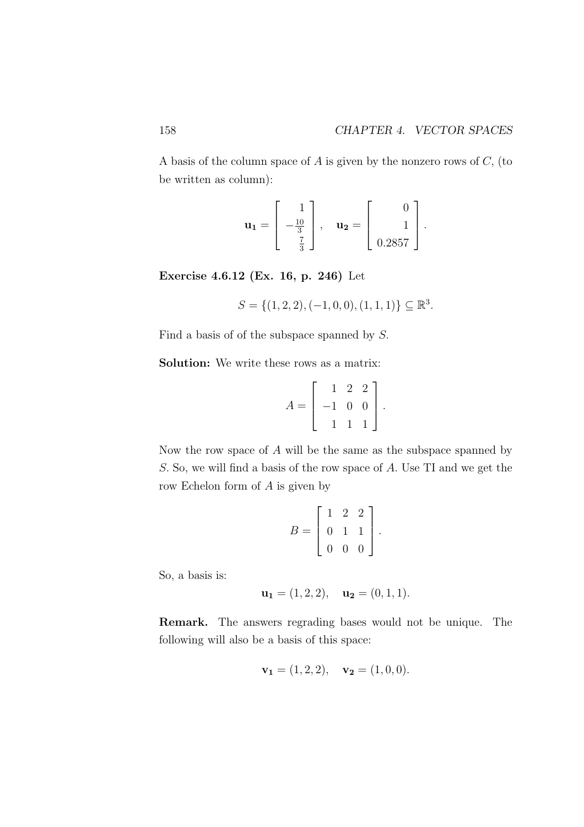A basis of the column space of A is given by the nonzero rows of C, (to be written as column):

$$
\mathbf{u_1} = \begin{bmatrix} 1 \\ -\frac{10}{3} \\ \frac{7}{3} \end{bmatrix}, \quad \mathbf{u_2} = \begin{bmatrix} 0 \\ 1 \\ 0.2857 \end{bmatrix}.
$$

Exercise 4.6.12 (Ex. 16, p. 246) Let

$$
S = \{(1, 2, 2), (-1, 0, 0), (1, 1, 1)\} \subseteq \mathbb{R}^3.
$$

Find a basis of of the subspace spanned by S.

Solution: We write these rows as a matrix:

$$
A = \left[ \begin{array}{rrr} 1 & 2 & 2 \\ -1 & 0 & 0 \\ 1 & 1 & 1 \end{array} \right].
$$

Now the row space of  $A$  will be the same as the subspace spanned by S. So, we will find a basis of the row space of A. Use TI and we get the row Echelon form of A is given by

$$
B = \left[ \begin{array}{rrr} 1 & 2 & 2 \\ 0 & 1 & 1 \\ 0 & 0 & 0 \end{array} \right].
$$

So, a basis is:

$$
\mathbf{u_1} = (1, 2, 2), \quad \mathbf{u_2} = (0, 1, 1).
$$

Remark. The answers regrading bases would not be unique. The following will also be a basis of this space:

$$
\mathbf{v_1} = (1, 2, 2), \quad \mathbf{v_2} = (1, 0, 0).
$$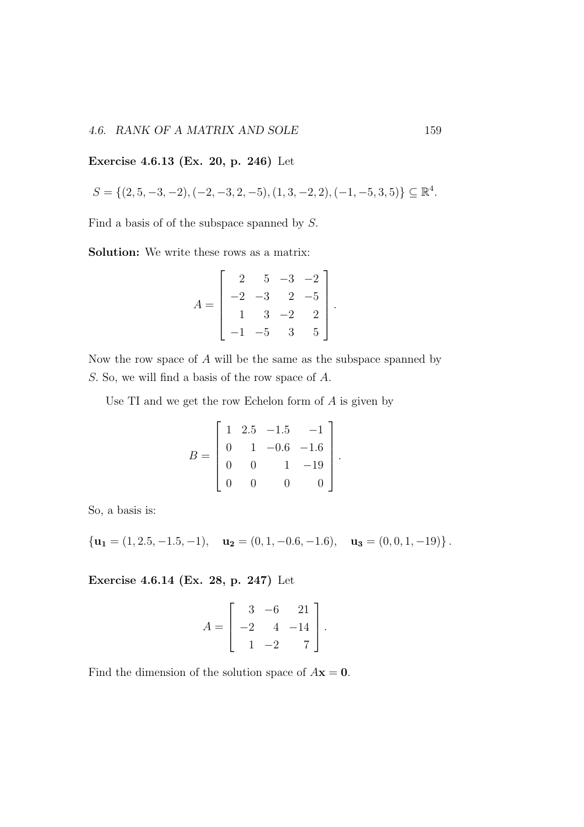#### 4.6. RANK OF A MATRIX AND SOLE 159

### Exercise 4.6.13 (Ex. 20, p. 246) Let

$$
S=\{(2,5,-3,-2),(-2,-3,2,-5),(1,3,-2,2),(-1,-5,3,5)\}\subseteq \mathbb{R}^4.
$$

Find a basis of of the subspace spanned by S.

Solution: We write these rows as a matrix:

$$
A = \begin{bmatrix} 2 & 5 & -3 & -2 \\ -2 & -3 & 2 & -5 \\ 1 & 3 & -2 & 2 \\ -1 & -5 & 3 & 5 \end{bmatrix}.
$$

Now the row space of A will be the same as the subspace spanned by S. So, we will find a basis of the row space of A.

Use  $TI$  and we get the row Echelon form of  $A$  is given by

$$
B = \begin{bmatrix} 1 & 2.5 & -1.5 & -1 \\ 0 & 1 & -0.6 & -1.6 \\ 0 & 0 & 1 & -19 \\ 0 & 0 & 0 & 0 \end{bmatrix}.
$$

So, a basis is:

 ${\bf u}_1 = (1, 2.5, -1.5, -1), \quad {\bf u}_2 = (0, 1, -0.6, -1.6), \quad {\bf u}_3 = (0, 0, 1, -19)\}.$ 

Exercise 4.6.14 (Ex. 28, p. 247) Let

$$
A = \begin{bmatrix} 3 & -6 & 21 \\ -2 & 4 & -14 \\ 1 & -2 & 7 \end{bmatrix}.
$$

Find the dimension of the solution space of  $A\mathbf{x} = \mathbf{0}$ .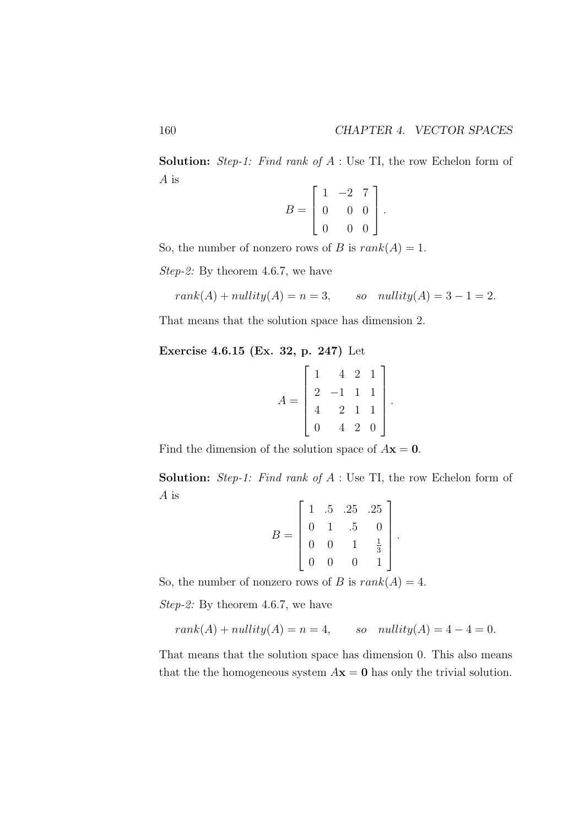Solution: *Step-1: Find rank of* A : Use TI, the row Echelon form of A is  $\overline{a}$ 

$$
B = \left[ \begin{array}{rrr} 1 & -2 & 7 \\ 0 & 0 & 0 \\ 0 & 0 & 0 \end{array} \right].
$$

So, the number of nonzero rows of B is  $rank(A) = 1$ .

*Step-2:* By theorem 4.6.7, we have

$$
rank(A) + nullity(A) = n = 3, \qquad so \quad nullity(A) = 3 - 1 = 2.
$$

That means that the solution space has dimension 2.

Exercise 4.6.15 (Ex. 32, p. 247) Let

$$
A = \begin{bmatrix} 1 & 4 & 2 & 1 \\ 2 & -1 & 1 & 1 \\ 4 & 2 & 1 & 1 \\ 0 & 4 & 2 & 0 \end{bmatrix}
$$

.

Find the dimension of the solution space of  $A\mathbf{x} = \mathbf{0}$ .

Solution: *Step-1: Find rank of* A : Use TI, the row Echelon form of A is  $\mathsf{r}$  $\overline{1}$ 

$$
B = \left[ \begin{array}{rrrr} 1 & .5 & .25 & .25 \\ 0 & 1 & .5 & 0 \\ 0 & 0 & 1 & \frac{1}{3} \\ 0 & 0 & 0 & 1 \end{array} \right].
$$

So, the number of nonzero rows of B is  $rank(A) = 4$ .

*Step-2:* By theorem 4.6.7, we have

$$
rank(A) + nullity(A) = n = 4, \qquad so \quad nullity(A) = 4 - 4 = 0.
$$

That means that the solution space has dimension 0. This also means that the the homogeneous system  $A\mathbf{x} = \mathbf{0}$  has only the trivial solution.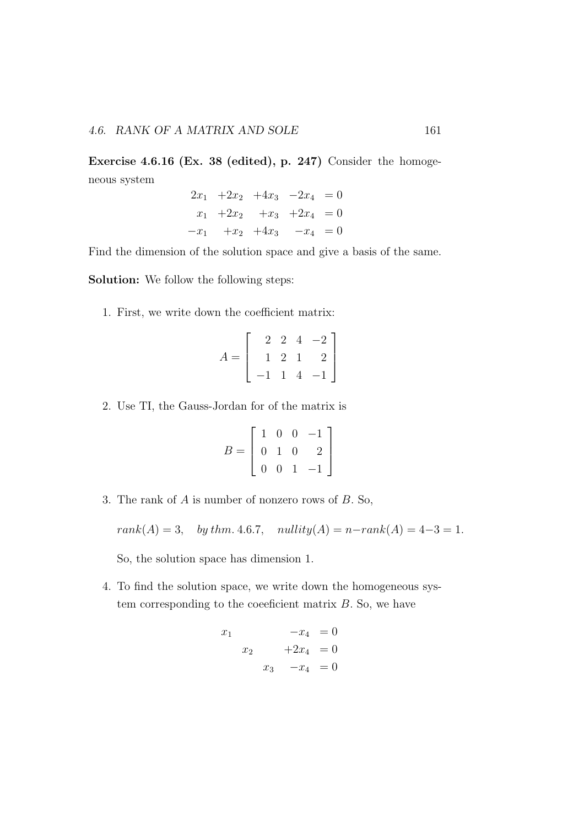Exercise 4.6.16 (Ex. 38 (edited), p. 247) Consider the homogeneous system

$$
2x_1 + 2x_2 + 4x_3 - 2x_4 = 0
$$
  
\n
$$
x_1 + 2x_2 + x_3 + 2x_4 = 0
$$
  
\n
$$
-x_1 + x_2 + 4x_3 - x_4 = 0
$$

Find the dimension of the solution space and give a basis of the same.

Solution: We follow the following steps:

1. First, we write down the coefficient matrix:

$$
A = \left[ \begin{array}{rrr} 2 & 2 & 4 & -2 \\ 1 & 2 & 1 & 2 \\ -1 & 1 & 4 & -1 \end{array} \right]
$$

2. Use TI, the Gauss-Jordan for of the matrix is

$$
B = \left[ \begin{array}{rrr} 1 & 0 & 0 & -1 \\ 0 & 1 & 0 & 2 \\ 0 & 0 & 1 & -1 \end{array} \right]
$$

3. The rank of A is number of nonzero rows of B. So,

 $rank(A) = 3, \text{ by } thm. 4.6.7, \text{ nullity}(A) = n - rank(A) = 4-3 = 1.$ 

So, the solution space has dimension 1.

4. To find the solution space, we write down the homogeneous system corresponding to the coefficient matrix  $B$ . So, we have

$$
\begin{array}{rcl}\nx_1 & -x_4 & = 0 \\
x_2 & +2x_4 & = 0 \\
x_3 & -x_4 & = 0\n\end{array}
$$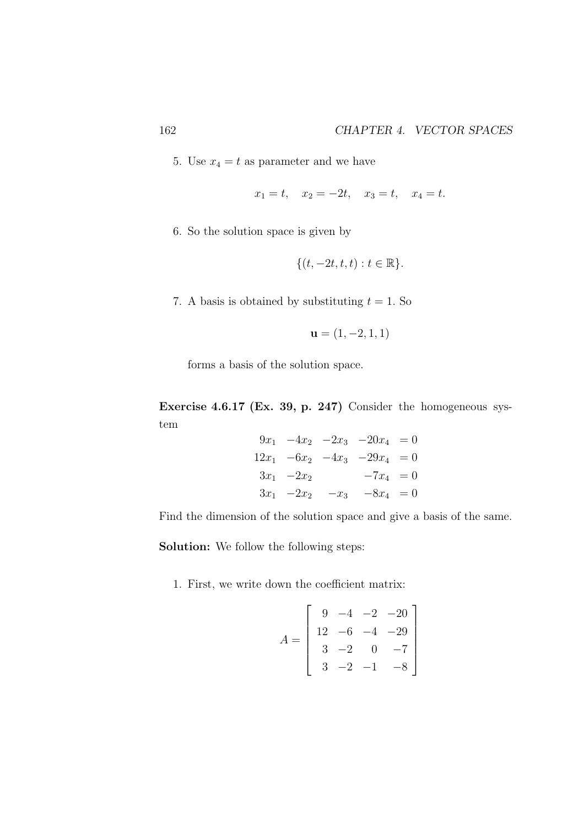5. Use  $x_4 = t$  as parameter and we have

$$
x_1 = t
$$
,  $x_2 = -2t$ ,  $x_3 = t$ ,  $x_4 = t$ .

6. So the solution space is given by

$$
\{(t, -2t, t, t): t \in \mathbb{R}\}.
$$

7. A basis is obtained by substituting  $t = 1$ . So

$$
\mathbf{u} = (1, -2, 1, 1)
$$

forms a basis of the solution space.

Exercise 4.6.17 (Ex. 39, p. 247) Consider the homogeneous system

$$
9x_1 -4x_2 -2x_3 -20x_4 = 0
$$
  
\n
$$
12x_1 -6x_2 -4x_3 -29x_4 = 0
$$
  
\n
$$
3x_1 -2x_2 -7x_4 = 0
$$
  
\n
$$
3x_1 -2x_2 -x_3 -8x_4 = 0
$$

Find the dimension of the solution space and give a basis of the same.

Solution: We follow the following steps:

1. First, we write down the coefficient matrix:

$$
A = \begin{bmatrix} 9 & -4 & -2 & -20 \\ 12 & -6 & -4 & -29 \\ 3 & -2 & 0 & -7 \\ 3 & -2 & -1 & -8 \end{bmatrix}
$$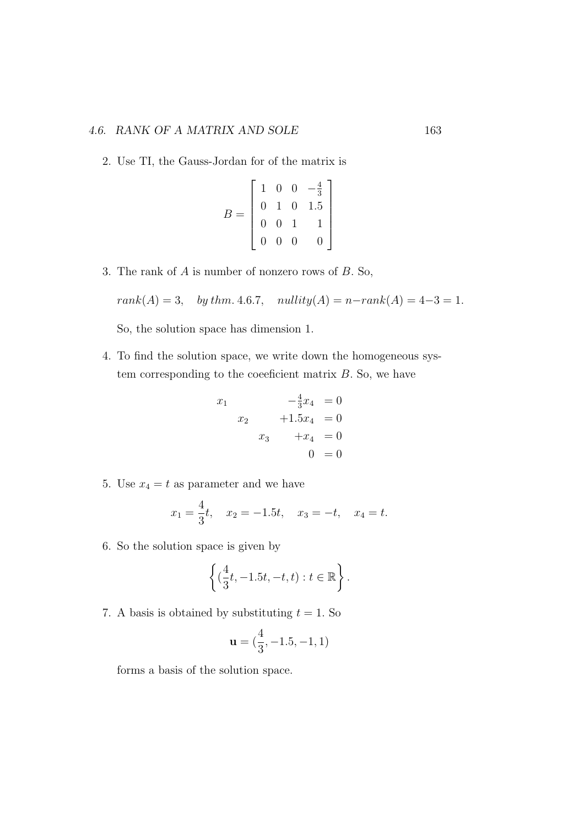### 4.6. RANK OF A MATRIX AND SOLE 163

2. Use TI, the Gauss-Jordan for of the matrix is

$$
B = \left[ \begin{array}{rrrr} 1 & 0 & 0 & -\frac{4}{3} \\ 0 & 1 & 0 & 1.5 \\ 0 & 0 & 1 & 1 \\ 0 & 0 & 0 & 0 \end{array} \right]
$$

3. The rank of A is number of nonzero rows of B. So,

$$
rank(A) = 3
$$
, by thm. 4.6.7,  $nullity(A) = n-rank(A) = 4-3 = 1$ .

So, the solution space has dimension 1.

4. To find the solution space, we write down the homogeneous system corresponding to the coefficient matrix  $B$ . So, we have

$$
x_1 \t -\frac{4}{3}x_4 = 0
$$
  

$$
x_2 \t +1.5x_4 = 0
$$
  

$$
x_3 \t +x_4 = 0
$$
  

$$
0 = 0
$$

5. Use  $x_4 = t$  as parameter and we have

$$
x_1 = \frac{4}{3}t
$$
,  $x_2 = -1.5t$ ,  $x_3 = -t$ ,  $x_4 = t$ .

6. So the solution space is given by

$$
\left\{(\frac{4}{3}t, -1.5t, -t, t) : t \in \mathbb{R}\right\}.
$$

7. A basis is obtained by substituting  $t = 1$ . So

$$
\mathbf{u} = (\frac{4}{3}, -1.5, -1, 1)
$$

forms a basis of the solution space.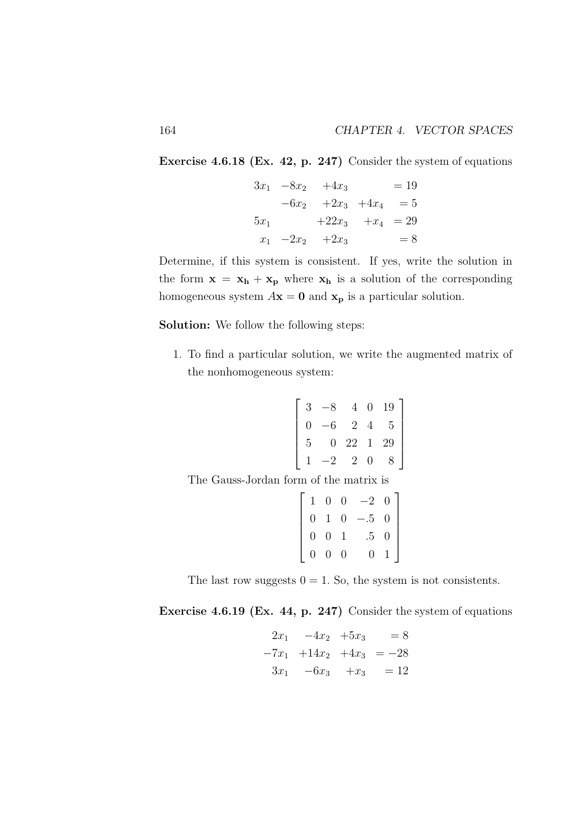Exercise 4.6.18 (Ex. 42, p. 247) Consider the system of equations

$$
3x_1 - 8x_2 + 4x_3 = 19
$$
  
\n
$$
-6x_2 + 2x_3 + 4x_4 = 5
$$
  
\n
$$
5x_1 + 22x_3 + x_4 = 29
$$
  
\n
$$
x_1 - 2x_2 + 2x_3 = 8
$$

Determine, if this system is consistent. If yes, write the solution in the form  $x = x_h + x_p$  where  $x_h$  is a solution of the corresponding homogeneous system  $A\mathbf{x} = \mathbf{0}$  and  $\mathbf{x}_p$  is a particular solution.

Solution: We follow the following steps:

1. To find a particular solution, we write the augmented matrix of the nonhomogeneous system:

$$
\begin{bmatrix} 3 & -8 & 4 & 0 & 19 \\ 0 & -6 & 2 & 4 & 5 \\ 5 & 0 & 22 & 1 & 29 \\ 1 & -2 & 2 & 0 & 8 \end{bmatrix}
$$

The Gauss-Jordan form of the matrix is

 $\sqrt{ }$ 

|  | $\left[\begin{array}{cccc} 1 & 0 & 0 & -2 & 0 \ 0 & 1 & 0 & -.5 & 0 \ 0 & 0 & 1 & .5 & 0 \ 0 & 0 & 0 & 0 & 1 \end{array}\right]$ |  |
|--|----------------------------------------------------------------------------------------------------------------------------------|--|

The last row suggests  $0 = 1$ . So, the system is not consistents.

Exercise 4.6.19 (Ex. 44, p. 247) Consider the system of equations

$$
2x_1 -4x_2 +5x_3 = 8
$$
  
\n
$$
-7x_1 +14x_2 +4x_3 = -28
$$
  
\n
$$
3x_1 -6x_3 +x_3 = 12
$$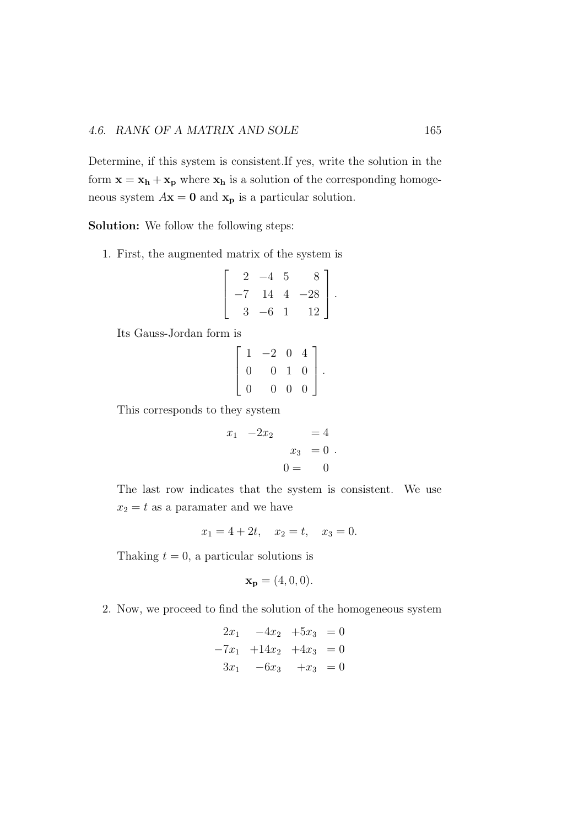Determine, if this system is consistent.If yes, write the solution in the form  $\mathbf{x} = \mathbf{x}_h + \mathbf{x}_p$  where  $\mathbf{x}_h$  is a solution of the corresponding homogeneous system  $A\mathbf{x} = \mathbf{0}$  and  $\mathbf{x}_p$  is a particular solution.

Solution: We follow the following steps:

1. First, the augmented matrix of the system is

$$
\left[\begin{array}{rrrr} 2 & -4 & 5 & 8 \\ -7 & 14 & 4 & -28 \\ 3 & -6 & 1 & 12 \end{array}\right].
$$

Its Gauss-Jordan form is

$$
\left[\begin{array}{rrrr} 1 & -2 & 0 & 4 \\ 0 & 0 & 1 & 0 \\ 0 & 0 & 0 & 0 \end{array}\right].
$$

This corresponds to they system

$$
\begin{array}{rcl}\nx_1 & -2x_2 & = & 4 \\
x_3 & = & 0 \\
0 & = & 0\n\end{array}
$$

The last row indicates that the system is consistent. We use  $x_2 = t$  as a paramater and we have

$$
x_1 = 4 + 2t, \quad x_2 = t, \quad x_3 = 0.
$$

Thaking  $t = 0$ , a particular solutions is

$$
\mathbf{x}_{\mathbf{p}} = (4, 0, 0).
$$

2. Now, we proceed to find the solution of the homogeneous system

$$
2x_1 -4x_2 +5x_3 = 0
$$
  

$$
-7x_1 +14x_2 +4x_3 = 0
$$
  

$$
3x_1 -6x_3 +x_3 = 0
$$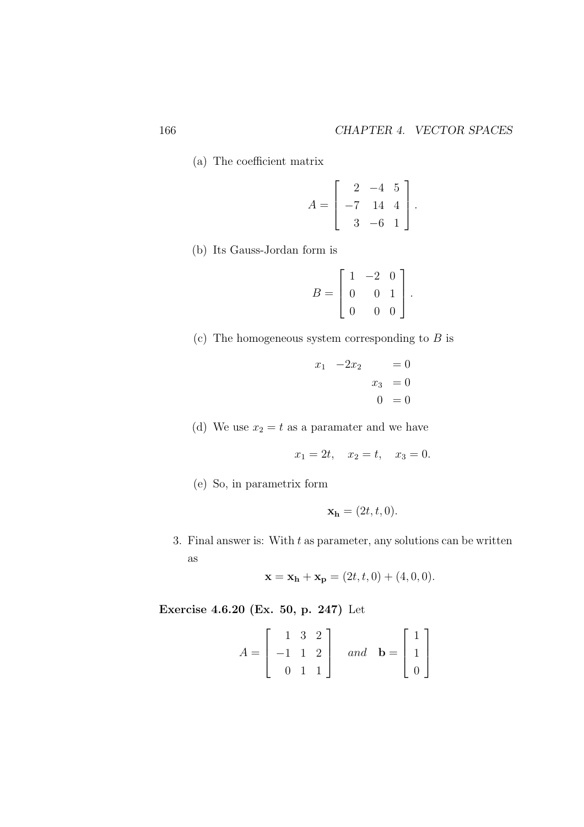(a) The coefficient matrix

$$
A = \left[ \begin{array}{rrr} 2 & -4 & 5 \\ -7 & 14 & 4 \\ 3 & -6 & 1 \end{array} \right].
$$

(b) Its Gauss-Jordan form is

$$
B = \left[ \begin{array}{rrr} 1 & -2 & 0 \\ 0 & 0 & 1 \\ 0 & 0 & 0 \end{array} \right].
$$

(c) The homogeneous system corresponding to  $B$  is

$$
\begin{array}{rcl}\nx_1 & -2x_2 & = 0 \\
x_3 & = 0 \\
0 & = 0\n\end{array}
$$

(d) We use  $x_2 = t$  as a paramater and we have

$$
x_1 = 2t, \quad x_2 = t, \quad x_3 = 0.
$$

(e) So, in parametrix form

$$
\mathbf{x_h} = (2t, t, 0).
$$

3. Final answer is: With  $t$  as parameter, any solutions can be written as

$$
\mathbf{x} = \mathbf{x_h} + \mathbf{x_p} = (2t, t, 0) + (4, 0, 0).
$$

Exercise 4.6.20 (Ex. 50, p. 247) Let

$$
A = \begin{bmatrix} 1 & 3 & 2 \\ -1 & 1 & 2 \\ 0 & 1 & 1 \end{bmatrix} \quad and \quad \mathbf{b} = \begin{bmatrix} 1 \\ 1 \\ 0 \end{bmatrix}
$$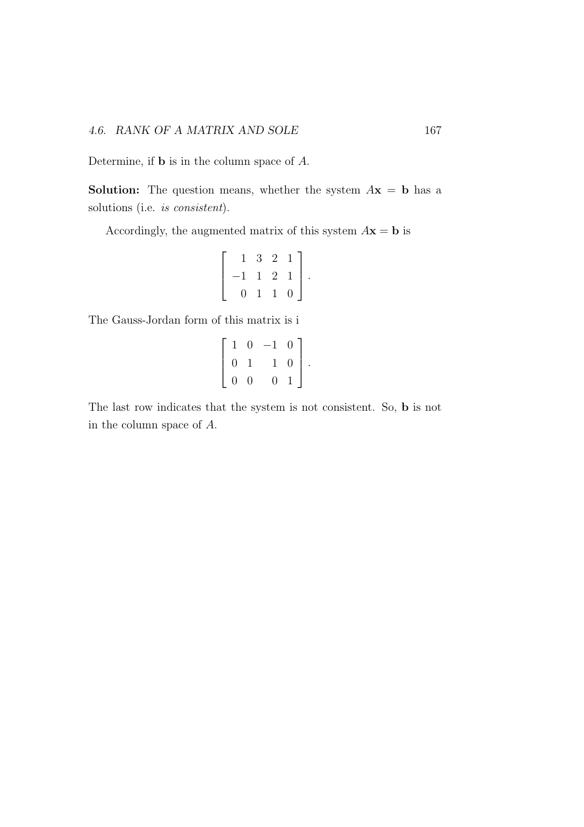Determine, if b is in the column space of A.

**Solution:** The question means, whether the system  $A\mathbf{x} = \mathbf{b}$  has a solutions (i.e. *is consistent*).

Accordingly, the augmented matrix of this system  $A\mathbf{x} = \mathbf{b}$  is

$$
\left[\begin{array}{rrr} 1 & 3 & 2 & 1 \\ -1 & 1 & 2 & 1 \\ 0 & 1 & 1 & 0 \end{array}\right].
$$

The Gauss-Jordan form of this matrix is i

$$
\left[\begin{array}{rrrr} 1 & 0 & -1 & 0 \\ 0 & 1 & 1 & 0 \\ 0 & 0 & 0 & 1 \end{array}\right].
$$

The last row indicates that the system is not consistent. So, b is not in the column space of A.